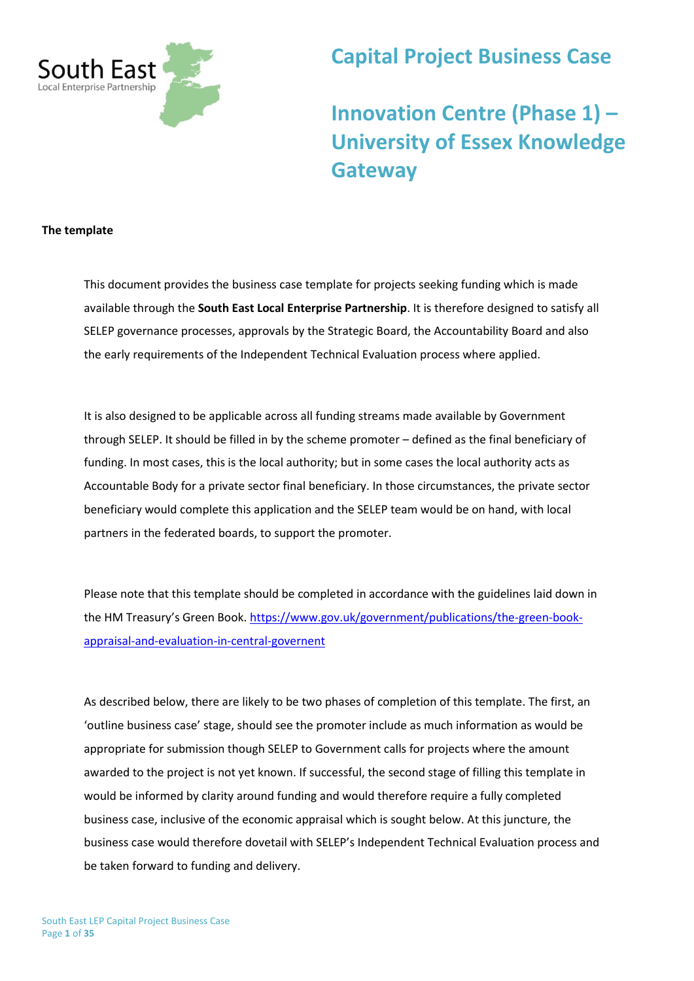

# **Capital Project Business Case**

# **Innovation Centre (Phase 1) – University of Essex Knowledge Gateway**

#### **The template**

This document provides the business case template for projects seeking funding which is made available through the **South East Local Enterprise Partnership**. It is therefore designed to satisfy all SELEP governance processes, approvals by the Strategic Board, the Accountability Board and also the early requirements of the Independent Technical Evaluation process where applied.

It is also designed to be applicable across all funding streams made available by Government through SELEP. It should be filled in by the scheme promoter – defined as the final beneficiary of funding. In most cases, this is the local authority; but in some cases the local authority acts as Accountable Body for a private sector final beneficiary. In those circumstances, the private sector beneficiary would complete this application and the SELEP team would be on hand, with local partners in the federated boards, to support the promoter.

Please note that this template should be completed in accordance with the guidelines laid down in the HM Treasury's Green Book. [https://www.gov.uk/government/publications/the-green-book](https://www.gov.uk/government/publications/the-green-book-appraisal-and-evaluation-in-central-governent)[appraisal-and-evaluation-in-central-governent](https://www.gov.uk/government/publications/the-green-book-appraisal-and-evaluation-in-central-governent)

As described below, there are likely to be two phases of completion of this template. The first, an 'outline business case' stage, should see the promoter include as much information as would be appropriate for submission though SELEP to Government calls for projects where the amount awarded to the project is not yet known. If successful, the second stage of filling this template in would be informed by clarity around funding and would therefore require a fully completed business case, inclusive of the economic appraisal which is sought below. At this juncture, the business case would therefore dovetail with SELEP's Independent Technical Evaluation process and be taken forward to funding and delivery.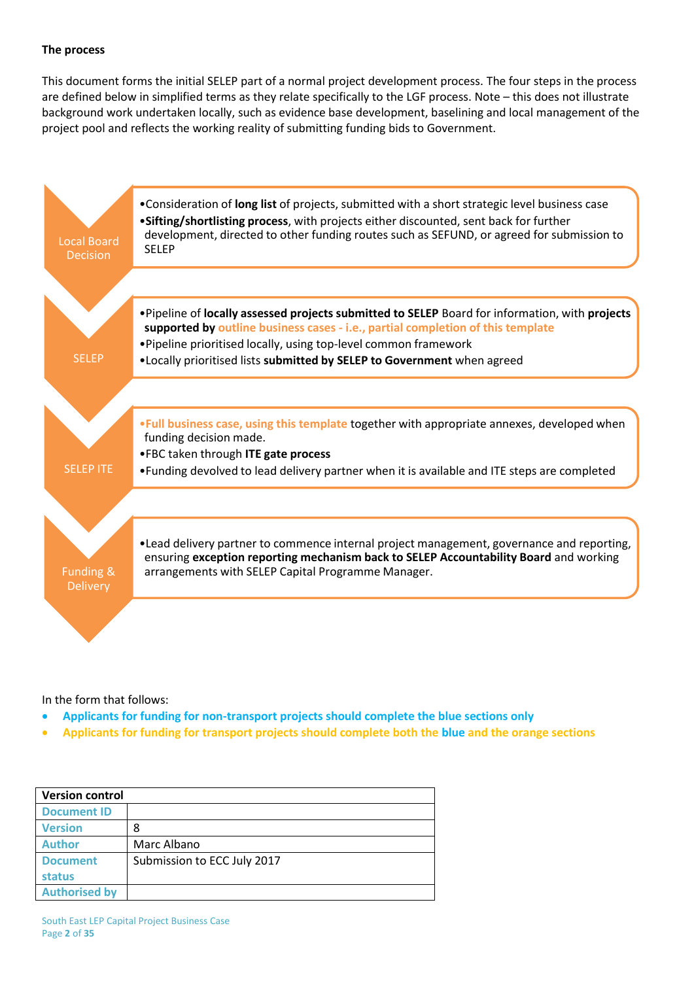#### **The process**

This document forms the initial SELEP part of a normal project development process. The four steps in the process are defined below in simplified terms as they relate specifically to the LGF process. Note – this does not illustrate background work undertaken locally, such as evidence base development, baselining and local management of the project pool and reflects the working reality of submitting funding bids to Government.



In the form that follows:

- **Applicants for funding for non-transport projects should complete the blue sections only**
- **Applicants for funding for transport projects should complete both the blue and the orange sections**

|                      | <b>Version control</b>      |  |  |  |
|----------------------|-----------------------------|--|--|--|
| <b>Document ID</b>   |                             |  |  |  |
| <b>Version</b>       | 8                           |  |  |  |
| <b>Author</b>        | Marc Albano                 |  |  |  |
| <b>Document</b>      | Submission to ECC July 2017 |  |  |  |
| status               |                             |  |  |  |
| <b>Authorised by</b> |                             |  |  |  |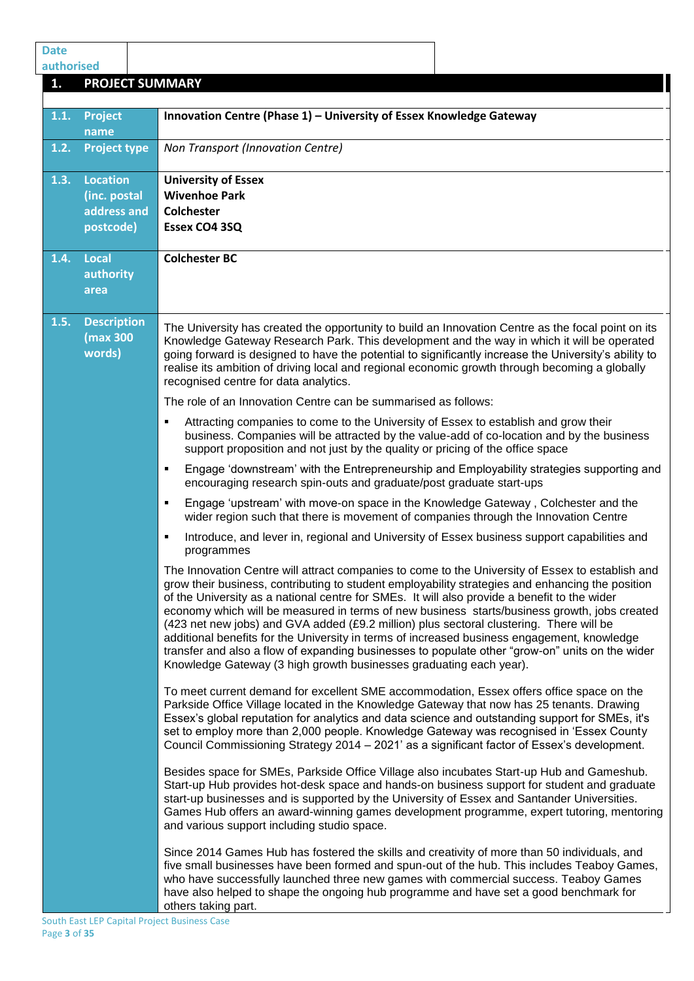| <b>Date</b>      |                                                             |                                                                                                                                                                                                                                                                                                                                                                                                                                                                                                                                                                                                                                                                                                                                                                         |
|------------------|-------------------------------------------------------------|-------------------------------------------------------------------------------------------------------------------------------------------------------------------------------------------------------------------------------------------------------------------------------------------------------------------------------------------------------------------------------------------------------------------------------------------------------------------------------------------------------------------------------------------------------------------------------------------------------------------------------------------------------------------------------------------------------------------------------------------------------------------------|
| authorised<br>1. |                                                             | <b>PROJECT SUMMARY</b>                                                                                                                                                                                                                                                                                                                                                                                                                                                                                                                                                                                                                                                                                                                                                  |
|                  |                                                             |                                                                                                                                                                                                                                                                                                                                                                                                                                                                                                                                                                                                                                                                                                                                                                         |
| 1.1.             | <b>Project</b><br>name                                      | Innovation Centre (Phase 1) - University of Essex Knowledge Gateway                                                                                                                                                                                                                                                                                                                                                                                                                                                                                                                                                                                                                                                                                                     |
| 1.2.             | <b>Project type</b>                                         | Non Transport (Innovation Centre)                                                                                                                                                                                                                                                                                                                                                                                                                                                                                                                                                                                                                                                                                                                                       |
| 1.3.             | <b>Location</b><br>(inc. postal<br>address and<br>postcode) | <b>University of Essex</b><br><b>Wivenhoe Park</b><br><b>Colchester</b><br>Essex CO4 3SQ                                                                                                                                                                                                                                                                                                                                                                                                                                                                                                                                                                                                                                                                                |
| 1.4.             | Local<br>authority<br>area                                  | <b>Colchester BC</b>                                                                                                                                                                                                                                                                                                                                                                                                                                                                                                                                                                                                                                                                                                                                                    |
| 1.5.             | <b>Description</b><br>(max 300<br>words)                    | The University has created the opportunity to build an Innovation Centre as the focal point on its<br>Knowledge Gateway Research Park. This development and the way in which it will be operated<br>going forward is designed to have the potential to significantly increase the University's ability to<br>realise its ambition of driving local and regional economic growth through becoming a globally<br>recognised centre for data analytics.                                                                                                                                                                                                                                                                                                                    |
|                  |                                                             | The role of an Innovation Centre can be summarised as follows:                                                                                                                                                                                                                                                                                                                                                                                                                                                                                                                                                                                                                                                                                                          |
|                  |                                                             | Attracting companies to come to the University of Essex to establish and grow their<br>٠<br>business. Companies will be attracted by the value-add of co-location and by the business<br>support proposition and not just by the quality or pricing of the office space                                                                                                                                                                                                                                                                                                                                                                                                                                                                                                 |
|                  |                                                             | Engage 'downstream' with the Entrepreneurship and Employability strategies supporting and<br>٠<br>encouraging research spin-outs and graduate/post graduate start-ups                                                                                                                                                                                                                                                                                                                                                                                                                                                                                                                                                                                                   |
|                  |                                                             | Engage 'upstream' with move-on space in the Knowledge Gateway, Colchester and the<br>٠<br>wider region such that there is movement of companies through the Innovation Centre                                                                                                                                                                                                                                                                                                                                                                                                                                                                                                                                                                                           |
|                  |                                                             | Introduce, and lever in, regional and University of Essex business support capabilities and<br>Е<br>programmes                                                                                                                                                                                                                                                                                                                                                                                                                                                                                                                                                                                                                                                          |
|                  |                                                             | The Innovation Centre will attract companies to come to the University of Essex to establish and<br>grow their business, contributing to student employability strategies and enhancing the position<br>of the University as a national centre for SMEs. It will also provide a benefit to the wider<br>economy which will be measured in terms of new business starts/business growth, jobs created<br>(423 net new jobs) and GVA added (£9.2 million) plus sectoral clustering. There will be<br>additional benefits for the University in terms of increased business engagement, knowledge<br>transfer and also a flow of expanding businesses to populate other "grow-on" units on the wider<br>Knowledge Gateway (3 high growth businesses graduating each year). |
|                  |                                                             | To meet current demand for excellent SME accommodation, Essex offers office space on the<br>Parkside Office Village located in the Knowledge Gateway that now has 25 tenants. Drawing<br>Essex's global reputation for analytics and data science and outstanding support for SMEs, it's<br>set to employ more than 2,000 people. Knowledge Gateway was recognised in 'Essex County<br>Council Commissioning Strategy 2014 - 2021' as a significant factor of Essex's development.                                                                                                                                                                                                                                                                                      |
|                  |                                                             | Besides space for SMEs, Parkside Office Village also incubates Start-up Hub and Gameshub.<br>Start-up Hub provides hot-desk space and hands-on business support for student and graduate<br>start-up businesses and is supported by the University of Essex and Santander Universities.<br>Games Hub offers an award-winning games development programme, expert tutoring, mentoring<br>and various support including studio space.                                                                                                                                                                                                                                                                                                                                     |
|                  |                                                             | Since 2014 Games Hub has fostered the skills and creativity of more than 50 individuals, and<br>five small businesses have been formed and spun-out of the hub. This includes Teaboy Games,<br>who have successfully launched three new games with commercial success. Teaboy Games<br>have also helped to shape the ongoing hub programme and have set a good benchmark for<br>others taking part.                                                                                                                                                                                                                                                                                                                                                                     |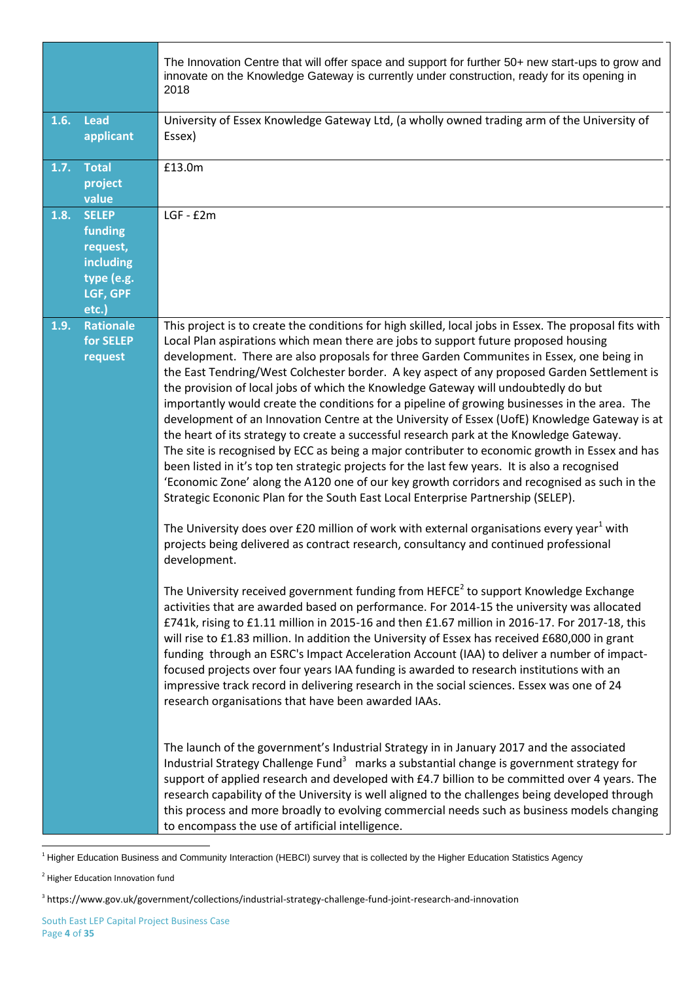|      |                                                                                     | The Innovation Centre that will offer space and support for further 50+ new start-ups to grow and<br>innovate on the Knowledge Gateway is currently under construction, ready for its opening in<br>2018                                                                                                                                                                                                                                                                                                                                                                                                                                                                                                                                                                                                                                                                                                                                                                                                                                                                                                                                                                                                                                                                                                                                                               |
|------|-------------------------------------------------------------------------------------|------------------------------------------------------------------------------------------------------------------------------------------------------------------------------------------------------------------------------------------------------------------------------------------------------------------------------------------------------------------------------------------------------------------------------------------------------------------------------------------------------------------------------------------------------------------------------------------------------------------------------------------------------------------------------------------------------------------------------------------------------------------------------------------------------------------------------------------------------------------------------------------------------------------------------------------------------------------------------------------------------------------------------------------------------------------------------------------------------------------------------------------------------------------------------------------------------------------------------------------------------------------------------------------------------------------------------------------------------------------------|
| 1.6. | <b>Lead</b><br>applicant                                                            | University of Essex Knowledge Gateway Ltd, (a wholly owned trading arm of the University of<br>Essex)                                                                                                                                                                                                                                                                                                                                                                                                                                                                                                                                                                                                                                                                                                                                                                                                                                                                                                                                                                                                                                                                                                                                                                                                                                                                  |
| 1.7. | <b>Total</b><br>project<br>value                                                    | £13.0m                                                                                                                                                                                                                                                                                                                                                                                                                                                                                                                                                                                                                                                                                                                                                                                                                                                                                                                                                                                                                                                                                                                                                                                                                                                                                                                                                                 |
| 1.8. | <b>SELEP</b><br>funding<br>request,<br>including<br>type (e.g.<br>LGF, GPF<br>etc.) | $LGF - E2m$                                                                                                                                                                                                                                                                                                                                                                                                                                                                                                                                                                                                                                                                                                                                                                                                                                                                                                                                                                                                                                                                                                                                                                                                                                                                                                                                                            |
| 1.9. | <b>Rationale</b><br>for SELEP<br>request                                            | This project is to create the conditions for high skilled, local jobs in Essex. The proposal fits with<br>Local Plan aspirations which mean there are jobs to support future proposed housing<br>development. There are also proposals for three Garden Communites in Essex, one being in<br>the East Tendring/West Colchester border. A key aspect of any proposed Garden Settlement is<br>the provision of local jobs of which the Knowledge Gateway will undoubtedly do but<br>importantly would create the conditions for a pipeline of growing businesses in the area. The<br>development of an Innovation Centre at the University of Essex (UofE) Knowledge Gateway is at<br>the heart of its strategy to create a successful research park at the Knowledge Gateway.<br>The site is recognised by ECC as being a major contributer to economic growth in Essex and has<br>been listed in it's top ten strategic projects for the last few years. It is also a recognised<br>'Economic Zone' along the A120 one of our key growth corridors and recognised as such in the<br>Strategic Econonic Plan for the South East Local Enterprise Partnership (SELEP).<br>The University does over £20 million of work with external organisations every year <sup>1</sup> with<br>projects being delivered as contract research, consultancy and continued professional |
|      |                                                                                     | development.<br>The University received government funding from HEFCE <sup>2</sup> to support Knowledge Exchange<br>activities that are awarded based on performance. For 2014-15 the university was allocated<br>£741k, rising to £1.11 million in 2015-16 and then £1.67 million in 2016-17. For 2017-18, this<br>will rise to £1.83 million. In addition the University of Essex has received £680,000 in grant<br>funding through an ESRC's Impact Acceleration Account (IAA) to deliver a number of impact-<br>focused projects over four years IAA funding is awarded to research institutions with an<br>impressive track record in delivering research in the social sciences. Essex was one of 24<br>research organisations that have been awarded IAAs.                                                                                                                                                                                                                                                                                                                                                                                                                                                                                                                                                                                                      |
|      |                                                                                     | The launch of the government's Industrial Strategy in in January 2017 and the associated<br>Industrial Strategy Challenge Fund <sup>3</sup> marks a substantial change is government strategy for<br>support of applied research and developed with £4.7 billion to be committed over 4 years. The<br>research capability of the University is well aligned to the challenges being developed through<br>this process and more broadly to evolving commercial needs such as business models changing<br>to encompass the use of artificial intelligence.                                                                                                                                                                                                                                                                                                                                                                                                                                                                                                                                                                                                                                                                                                                                                                                                               |

<sup>&</sup>lt;sup>1</sup> Higher Education Business and Community Interaction (HEBCI) survey that is collected by the Higher Education Statistics Agency

**.** 

<sup>&</sup>lt;sup>2</sup> Higher Education Innovation fund

<sup>3</sup> https://www.gov.uk/government/collections/industrial-strategy-challenge-fund-joint-research-and-innovation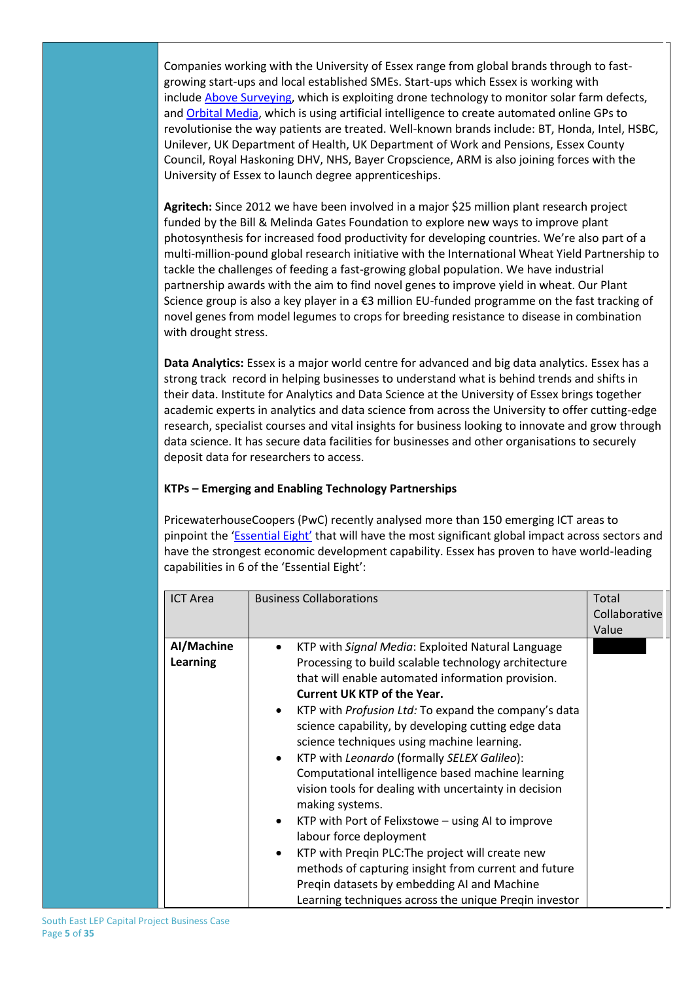Companies working with the University of Essex range from global brands through to fastgrowing start-ups and local established SMEs. Start-ups which Essex is working with include [Above Surveying,](https://www.essex.ac.uk/news/event.aspx?e_id=12065) which is exploiting drone technology to monitor solar farm defects, and [Orbital Media,](https://www.essex.ac.uk/business/news-and-events/newsEvent.aspx?e_id=12024) which is using artificial intelligence to create automated online GPs to revolutionise the way patients are treated. Well-known brands include: BT, Honda, Intel, HSBC, Unilever, UK Department of Health, UK Department of Work and Pensions, Essex County Council, Royal Haskoning DHV, NHS, Bayer Cropscience, ARM is also joining forces with the University of Essex to launch degree apprenticeships.

**Agritech:** Since 2012 we have been involved in a major \$25 million plant research project funded by the Bill & Melinda Gates Foundation to explore new ways to improve plant photosynthesis for increased food productivity for developing countries. We're also part of a multi-million-pound global research initiative with the International Wheat Yield Partnership to tackle the challenges of feeding a fast-growing global population. We have industrial partnership awards with the aim to find novel genes to improve yield in wheat. Our Plant Science group is also a key player in a €3 million EU-funded programme on the fast tracking of novel genes from model legumes to crops for breeding resistance to disease in combination with drought stress.

**Data Analytics:** Essex is a major world centre for advanced and big data analytics. Essex has a strong track record in helping businesses to understand what is behind trends and shifts in their data. Institute for Analytics and Data Science at the University of Essex brings together academic experts in analytics and data science from across the University to offer cutting-edge research, specialist courses and vital insights for business looking to innovate and grow through data science. It has secure data facilities for businesses and other organisations to securely deposit data for researchers to access.

### **KTPs – Emerging and Enabling Technology Partnerships**

PricewaterhouseCoopers (PwC) recently analysed more than 150 emerging ICT areas to pinpoint the ['Essential Eight'](http://pwc.blogs.com/ceoinsights/2016/08/a-guide-to-the-essential-eight-emerging-technologies.html) that will have the most significant global impact across sectors and have the strongest economic development capability. Essex has proven to have world-leading capabilities in 6 of the 'Essential Eight':

| <b>ICT Area</b>               | <b>Business Collaborations</b>                                                                                                                                                                                                                                                                                                                                                                                                                                                                                                                                                                                                                                                                                                                                                                                                                                                                                   | Total<br>Collaborative<br>Value |
|-------------------------------|------------------------------------------------------------------------------------------------------------------------------------------------------------------------------------------------------------------------------------------------------------------------------------------------------------------------------------------------------------------------------------------------------------------------------------------------------------------------------------------------------------------------------------------------------------------------------------------------------------------------------------------------------------------------------------------------------------------------------------------------------------------------------------------------------------------------------------------------------------------------------------------------------------------|---------------------------------|
| Al/Machine<br><b>Learning</b> | KTP with Signal Media: Exploited Natural Language<br>$\bullet$<br>Processing to build scalable technology architecture<br>that will enable automated information provision.<br><b>Current UK KTP of the Year.</b><br>KTP with <i>Profusion Ltd:</i> To expand the company's data<br>science capability, by developing cutting edge data<br>science techniques using machine learning.<br>KTP with Leonardo (formally SELEX Galileo):<br>$\bullet$<br>Computational intelligence based machine learning<br>vision tools for dealing with uncertainty in decision<br>making systems.<br>KTP with Port of Felixstowe – using AI to improve<br>$\bullet$<br>labour force deployment<br>KTP with Preqin PLC: The project will create new<br>$\bullet$<br>methods of capturing insight from current and future<br>Pregin datasets by embedding AI and Machine<br>Learning techniques across the unique Preqin investor |                                 |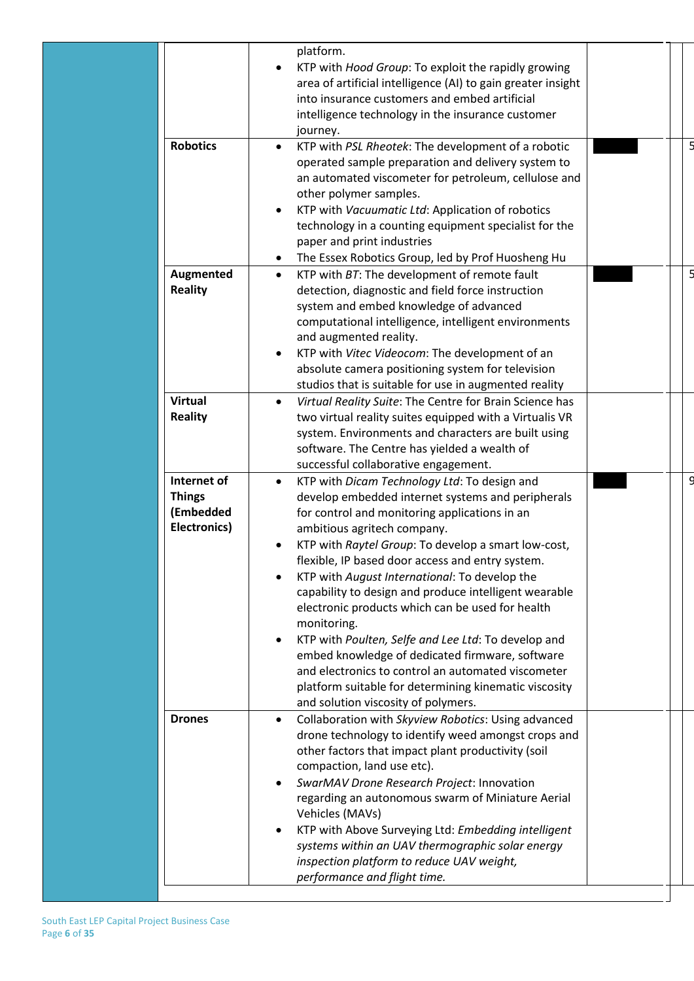|                                                                  | platform.                                                                                                                                                                                                                                                    |   |
|------------------------------------------------------------------|--------------------------------------------------------------------------------------------------------------------------------------------------------------------------------------------------------------------------------------------------------------|---|
|                                                                  | KTP with Hood Group: To exploit the rapidly growing<br>area of artificial intelligence (AI) to gain greater insight<br>into insurance customers and embed artificial<br>intelligence technology in the insurance customer                                    |   |
| <b>Robotics</b>                                                  | journey.                                                                                                                                                                                                                                                     |   |
|                                                                  | KTP with PSL Rheotek: The development of a robotic<br>$\bullet$<br>operated sample preparation and delivery system to<br>an automated viscometer for petroleum, cellulose and<br>other polymer samples.                                                      |   |
|                                                                  | KTP with Vacuumatic Ltd: Application of robotics<br>technology in a counting equipment specialist for the<br>paper and print industries                                                                                                                      |   |
|                                                                  | The Essex Robotics Group, led by Prof Huosheng Hu                                                                                                                                                                                                            |   |
| Augmented<br><b>Reality</b>                                      | KTP with BT: The development of remote fault<br>$\bullet$<br>detection, diagnostic and field force instruction<br>system and embed knowledge of advanced<br>computational intelligence, intelligent environments<br>and augmented reality.                   |   |
|                                                                  | KTP with Vitec Videocom: The development of an<br>absolute camera positioning system for television<br>studios that is suitable for use in augmented reality                                                                                                 |   |
| <b>Virtual</b><br><b>Reality</b>                                 | Virtual Reality Suite: The Centre for Brain Science has<br>$\bullet$<br>two virtual reality suites equipped with a Virtualis VR<br>system. Environments and characters are built using<br>software. The Centre has yielded a wealth of                       |   |
| Internet of<br><b>Things</b><br>(Embedded<br><b>Electronics)</b> | successful collaborative engagement.<br>KTP with Dicam Technology Ltd: To design and<br>$\bullet$<br>develop embedded internet systems and peripherals<br>for control and monitoring applications in an                                                      | O |
|                                                                  | ambitious agritech company.<br>KTP with Raytel Group: To develop a smart low-cost,                                                                                                                                                                           |   |
|                                                                  | flexible, IP based door access and entry system.<br>KTP with August International: To develop the                                                                                                                                                            |   |
|                                                                  | capability to design and produce intelligent wearable<br>electronic products which can be used for health<br>monitoring.                                                                                                                                     |   |
|                                                                  | KTP with Poulten, Selfe and Lee Ltd: To develop and<br>embed knowledge of dedicated firmware, software<br>and electronics to control an automated viscometer<br>platform suitable for determining kinematic viscosity<br>and solution viscosity of polymers. |   |
| <b>Drones</b>                                                    | Collaboration with Skyview Robotics: Using advanced<br>$\bullet$<br>drone technology to identify weed amongst crops and<br>other factors that impact plant productivity (soil<br>compaction, land use etc).                                                  |   |
|                                                                  | SwarMAV Drone Research Project: Innovation<br>regarding an autonomous swarm of Miniature Aerial<br>Vehicles (MAVs)                                                                                                                                           |   |
|                                                                  | KTP with Above Surveying Ltd: Embedding intelligent<br>systems within an UAV thermographic solar energy                                                                                                                                                      |   |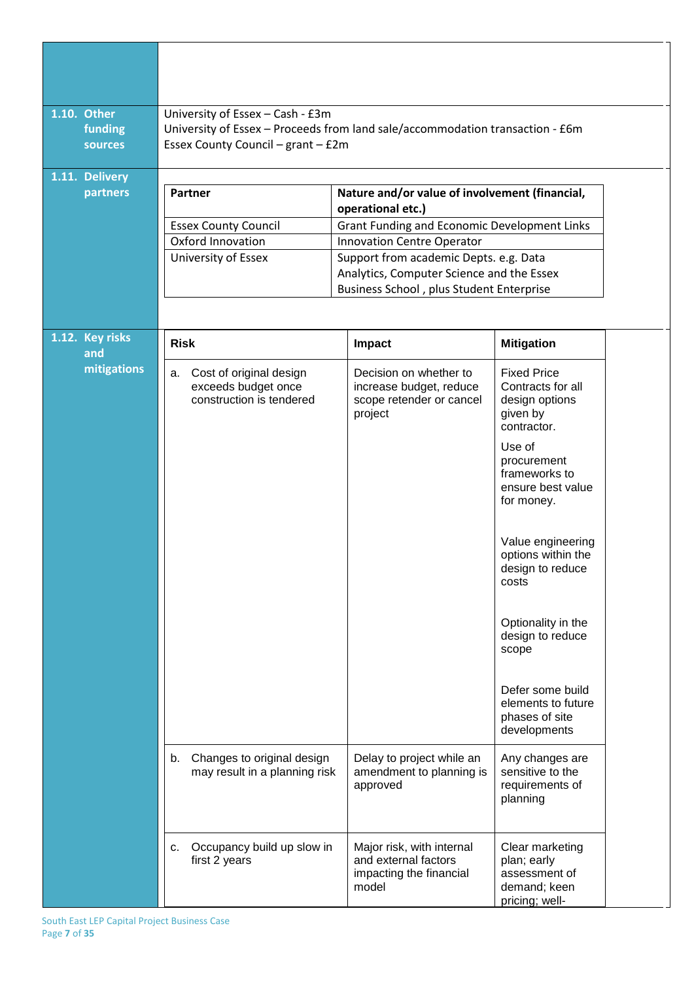| 1.10. Other | funding<br><b>sources</b>  | University of Essex - Cash - £3m<br>University of Essex - Proceeds from land sale/accommodation transaction - £6m<br>Essex County Council - grant - £2m |                                                                                          |                                                                                                |
|-------------|----------------------------|---------------------------------------------------------------------------------------------------------------------------------------------------------|------------------------------------------------------------------------------------------|------------------------------------------------------------------------------------------------|
|             | 1.11. Delivery<br>partners | Partner                                                                                                                                                 | Nature and/or value of involvement (financial,                                           |                                                                                                |
|             |                            |                                                                                                                                                         | operational etc.)                                                                        |                                                                                                |
|             |                            | <b>Essex County Council</b>                                                                                                                             | <b>Grant Funding and Economic Development Links</b>                                      |                                                                                                |
|             |                            | Oxford Innovation                                                                                                                                       | Innovation Centre Operator                                                               |                                                                                                |
|             |                            | University of Essex                                                                                                                                     | Support from academic Depts. e.g. Data<br>Analytics, Computer Science and the Essex      |                                                                                                |
|             |                            |                                                                                                                                                         | Business School, plus Student Enterprise                                                 |                                                                                                |
|             |                            |                                                                                                                                                         |                                                                                          |                                                                                                |
|             |                            |                                                                                                                                                         |                                                                                          |                                                                                                |
|             | 1.12. Key risks<br>and     | <b>Risk</b>                                                                                                                                             | Impact                                                                                   | <b>Mitigation</b>                                                                              |
|             | mitigations                | a. Cost of original design<br>exceeds budget once<br>construction is tendered                                                                           | Decision on whether to<br>increase budget, reduce<br>scope retender or cancel<br>project | <b>Fixed Price</b><br>Contracts for all<br>design options<br>given by<br>contractor.<br>Use of |
|             |                            |                                                                                                                                                         |                                                                                          | procurement<br>frameworks to<br>ensure best value<br>for money.                                |
|             |                            |                                                                                                                                                         |                                                                                          | Value engineering<br>options within the<br>design to reduce<br>costs                           |
|             |                            |                                                                                                                                                         |                                                                                          | Optionality in the<br>design to reduce<br>scope                                                |
|             |                            |                                                                                                                                                         |                                                                                          | Defer some build<br>elements to future<br>phases of site<br>developments                       |
|             |                            | Changes to original design<br>b.<br>may result in a planning risk                                                                                       | Delay to project while an<br>amendment to planning is<br>approved                        | Any changes are<br>sensitive to the<br>requirements of<br>planning                             |
|             |                            | Occupancy build up slow in<br>c.<br>first 2 years                                                                                                       | Major risk, with internal<br>and external factors<br>impacting the financial<br>model    | Clear marketing<br>plan; early<br>assessment of<br>demand; keen<br>pricing; well-              |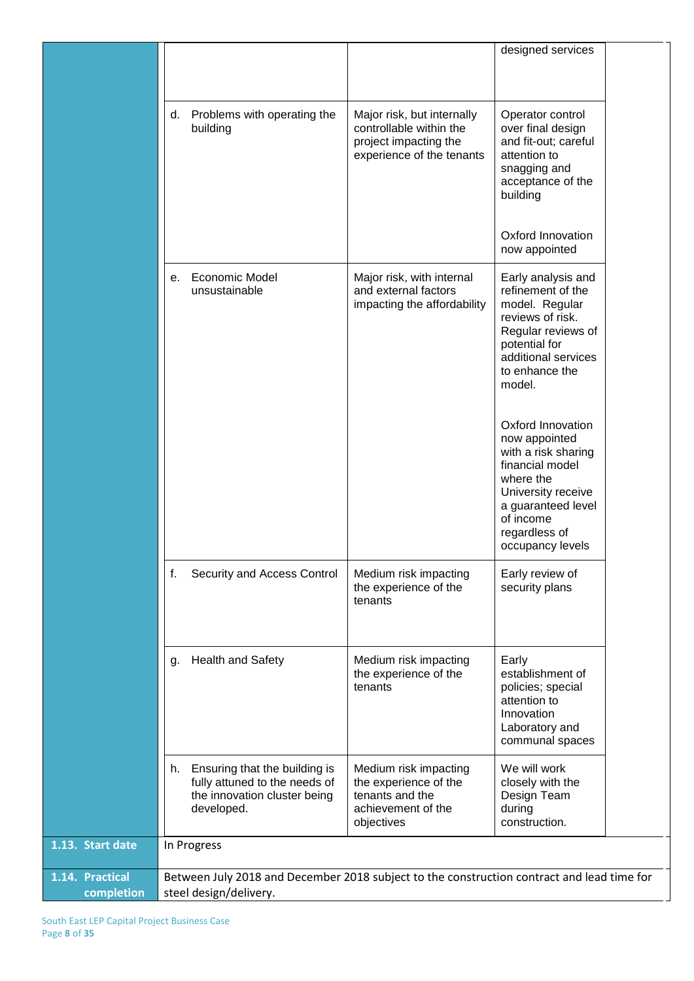|                               |                                                                                                                      |                                                                                                             | designed services                                                                                                                                                                       |  |  |
|-------------------------------|----------------------------------------------------------------------------------------------------------------------|-------------------------------------------------------------------------------------------------------------|-----------------------------------------------------------------------------------------------------------------------------------------------------------------------------------------|--|--|
|                               | Problems with operating the<br>d.<br>building                                                                        | Major risk, but internally<br>controllable within the<br>project impacting the<br>experience of the tenants | Operator control<br>over final design<br>and fit-out; careful<br>attention to<br>snagging and<br>acceptance of the<br>building                                                          |  |  |
|                               |                                                                                                                      |                                                                                                             | Oxford Innovation<br>now appointed                                                                                                                                                      |  |  |
|                               | <b>Economic Model</b><br>е.<br>unsustainable                                                                         | Major risk, with internal<br>and external factors<br>impacting the affordability                            | Early analysis and<br>refinement of the<br>model. Regular<br>reviews of risk.<br>Regular reviews of<br>potential for<br>additional services<br>to enhance the<br>model.                 |  |  |
|                               |                                                                                                                      |                                                                                                             | Oxford Innovation<br>now appointed<br>with a risk sharing<br>financial model<br>where the<br>University receive<br>a guaranteed level<br>of income<br>regardless of<br>occupancy levels |  |  |
|                               | f.<br>Security and Access Control                                                                                    | Medium risk impacting<br>the experience of the<br>tenants                                                   | Early review of<br>security plans                                                                                                                                                       |  |  |
|                               | <b>Health and Safety</b><br>g.                                                                                       | Medium risk impacting<br>the experience of the<br>tenants                                                   | Early<br>establishment of<br>policies; special<br>attention to<br>Innovation<br>Laboratory and<br>communal spaces                                                                       |  |  |
|                               | Ensuring that the building is<br>h.<br>fully attuned to the needs of<br>the innovation cluster being<br>developed.   | Medium risk impacting<br>the experience of the<br>tenants and the<br>achievement of the<br>objectives       | We will work<br>closely with the<br>Design Team<br>during<br>construction.                                                                                                              |  |  |
| 1.13. Start date              | In Progress                                                                                                          |                                                                                                             |                                                                                                                                                                                         |  |  |
| 1.14. Practical<br>completion | Between July 2018 and December 2018 subject to the construction contract and lead time for<br>steel design/delivery. |                                                                                                             |                                                                                                                                                                                         |  |  |

 $\overline{\mathbf{1}}$ .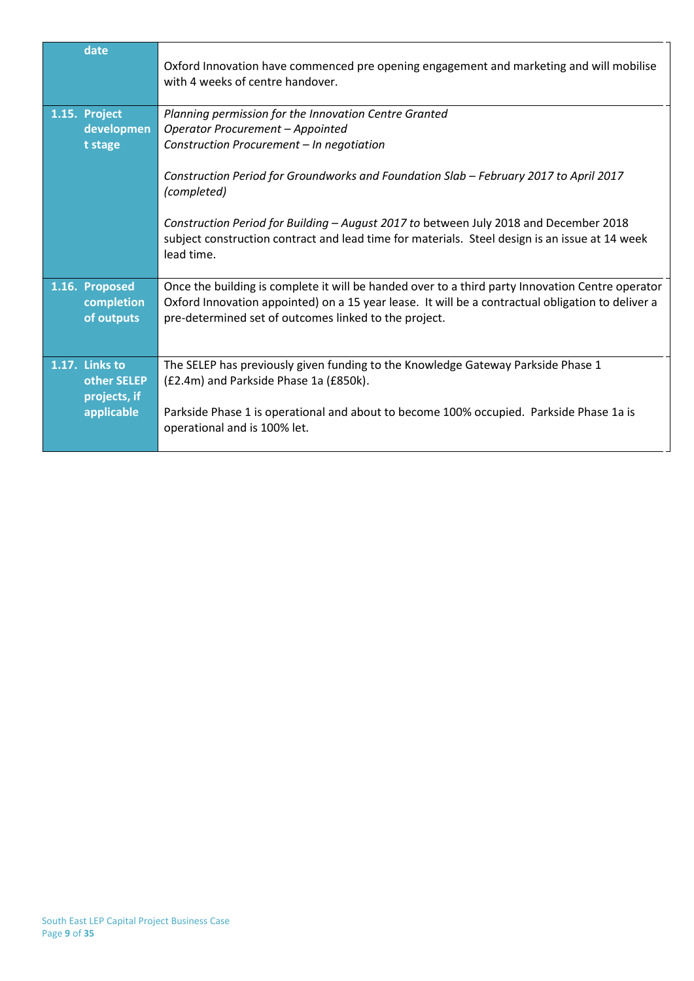| date                                                        | Oxford Innovation have commenced pre opening engagement and marketing and will mobilise<br>with 4 weeks of centre handover.                                                                                                                                                                                                                                                                                                               |
|-------------------------------------------------------------|-------------------------------------------------------------------------------------------------------------------------------------------------------------------------------------------------------------------------------------------------------------------------------------------------------------------------------------------------------------------------------------------------------------------------------------------|
| 1.15. Project<br>developmen<br>t stage                      | Planning permission for the Innovation Centre Granted<br>Operator Procurement - Appointed<br>Construction Procurement - In negotiation<br>Construction Period for Groundworks and Foundation Slab - February 2017 to April 2017<br>(completed)<br>Construction Period for Building - August 2017 to between July 2018 and December 2018<br>subject construction contract and lead time for materials. Steel design is an issue at 14 week |
| 1.16. Proposed<br>completion<br>of outputs                  | lead time.<br>Once the building is complete it will be handed over to a third party Innovation Centre operator<br>Oxford Innovation appointed) on a 15 year lease. It will be a contractual obligation to deliver a<br>pre-determined set of outcomes linked to the project.                                                                                                                                                              |
| 1.17. Links to<br>other SELEP<br>projects, if<br>applicable | The SELEP has previously given funding to the Knowledge Gateway Parkside Phase 1<br>(£2.4m) and Parkside Phase 1a (£850k).<br>Parkside Phase 1 is operational and about to become 100% occupied. Parkside Phase 1a is<br>operational and is 100% let.                                                                                                                                                                                     |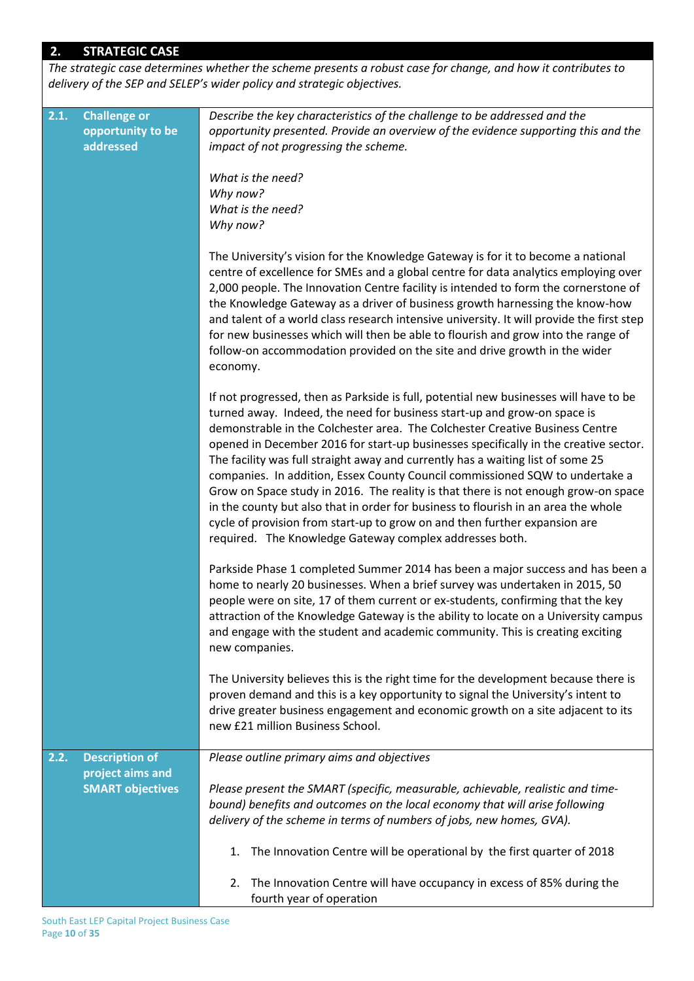# **2. STRATEGIC CASE**

*The strategic case determines whether the scheme presents a robust case for change, and how it contributes to delivery of the SEP and SELEP's wider policy and strategic objectives.* 

| 2.1. | <b>Challenge or</b><br>opportunity to be<br>addressed | Describe the key characteristics of the challenge to be addressed and the<br>opportunity presented. Provide an overview of the evidence supporting this and the<br>impact of not progressing the scheme.                                                                                                                                                                                                                                                                                                                                                                                                                                                                                                                                                                                                                          |
|------|-------------------------------------------------------|-----------------------------------------------------------------------------------------------------------------------------------------------------------------------------------------------------------------------------------------------------------------------------------------------------------------------------------------------------------------------------------------------------------------------------------------------------------------------------------------------------------------------------------------------------------------------------------------------------------------------------------------------------------------------------------------------------------------------------------------------------------------------------------------------------------------------------------|
|      |                                                       | What is the need?<br>Why now?<br>What is the need?<br>Why now?                                                                                                                                                                                                                                                                                                                                                                                                                                                                                                                                                                                                                                                                                                                                                                    |
|      |                                                       | The University's vision for the Knowledge Gateway is for it to become a national<br>centre of excellence for SMEs and a global centre for data analytics employing over<br>2,000 people. The Innovation Centre facility is intended to form the cornerstone of<br>the Knowledge Gateway as a driver of business growth harnessing the know-how<br>and talent of a world class research intensive university. It will provide the first step<br>for new businesses which will then be able to flourish and grow into the range of<br>follow-on accommodation provided on the site and drive growth in the wider<br>economy.                                                                                                                                                                                                        |
|      |                                                       | If not progressed, then as Parkside is full, potential new businesses will have to be<br>turned away. Indeed, the need for business start-up and grow-on space is<br>demonstrable in the Colchester area. The Colchester Creative Business Centre<br>opened in December 2016 for start-up businesses specifically in the creative sector.<br>The facility was full straight away and currently has a waiting list of some 25<br>companies. In addition, Essex County Council commissioned SQW to undertake a<br>Grow on Space study in 2016. The reality is that there is not enough grow-on space<br>in the county but also that in order for business to flourish in an area the whole<br>cycle of provision from start-up to grow on and then further expansion are<br>required. The Knowledge Gateway complex addresses both. |
|      |                                                       | Parkside Phase 1 completed Summer 2014 has been a major success and has been a<br>home to nearly 20 businesses. When a brief survey was undertaken in 2015, 50<br>people were on site, 17 of them current or ex-students, confirming that the key<br>attraction of the Knowledge Gateway is the ability to locate on a University campus<br>and engage with the student and academic community. This is creating exciting<br>new companies.                                                                                                                                                                                                                                                                                                                                                                                       |
|      |                                                       | The University believes this is the right time for the development because there is<br>proven demand and this is a key opportunity to signal the University's intent to<br>drive greater business engagement and economic growth on a site adjacent to its<br>new £21 million Business School.                                                                                                                                                                                                                                                                                                                                                                                                                                                                                                                                    |
| 2.2. | <b>Description of</b>                                 | Please outline primary aims and objectives                                                                                                                                                                                                                                                                                                                                                                                                                                                                                                                                                                                                                                                                                                                                                                                        |
|      | project aims and<br><b>SMART objectives</b>           | Please present the SMART (specific, measurable, achievable, realistic and time-<br>bound) benefits and outcomes on the local economy that will arise following<br>delivery of the scheme in terms of numbers of jobs, new homes, GVA).                                                                                                                                                                                                                                                                                                                                                                                                                                                                                                                                                                                            |
|      |                                                       | The Innovation Centre will be operational by the first quarter of 2018<br>1.                                                                                                                                                                                                                                                                                                                                                                                                                                                                                                                                                                                                                                                                                                                                                      |
|      |                                                       | The Innovation Centre will have occupancy in excess of 85% during the<br>2.<br>fourth year of operation                                                                                                                                                                                                                                                                                                                                                                                                                                                                                                                                                                                                                                                                                                                           |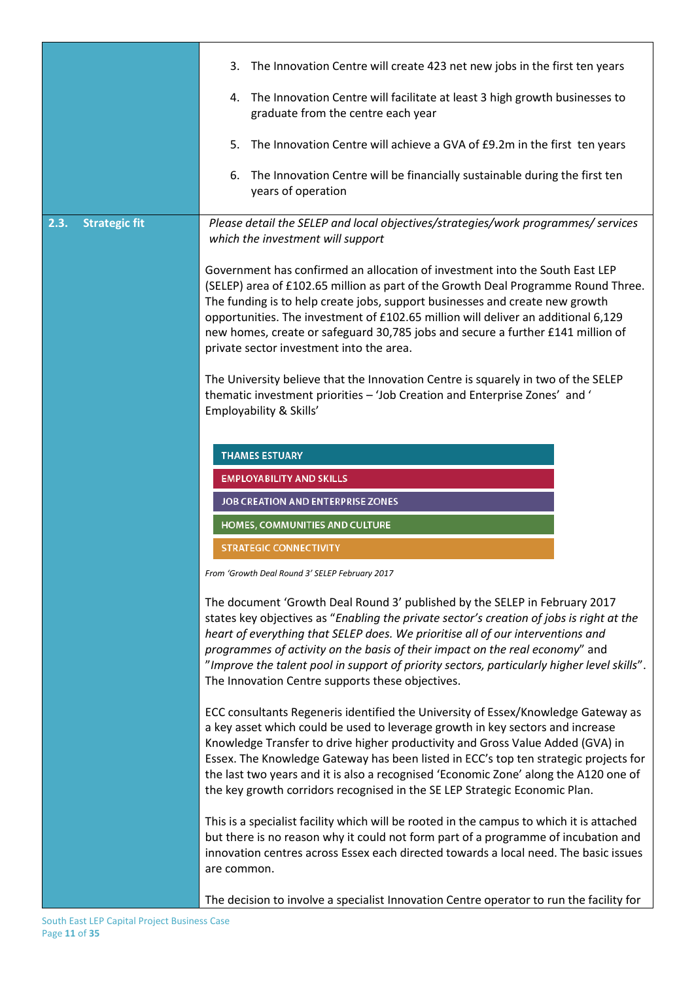|                              | 3. The Innovation Centre will create 423 net new jobs in the first ten years                                                                                                                                                                                                                                                                                                                                                                                                                                                                               |
|------------------------------|------------------------------------------------------------------------------------------------------------------------------------------------------------------------------------------------------------------------------------------------------------------------------------------------------------------------------------------------------------------------------------------------------------------------------------------------------------------------------------------------------------------------------------------------------------|
|                              | 4. The Innovation Centre will facilitate at least 3 high growth businesses to<br>graduate from the centre each year                                                                                                                                                                                                                                                                                                                                                                                                                                        |
|                              | 5.<br>The Innovation Centre will achieve a GVA of £9.2m in the first ten years                                                                                                                                                                                                                                                                                                                                                                                                                                                                             |
|                              | The Innovation Centre will be financially sustainable during the first ten<br>6.<br>years of operation                                                                                                                                                                                                                                                                                                                                                                                                                                                     |
| 2.3.<br><b>Strategic fit</b> | Please detail the SELEP and local objectives/strategies/work programmes/ services<br>which the investment will support                                                                                                                                                                                                                                                                                                                                                                                                                                     |
|                              | Government has confirmed an allocation of investment into the South East LEP<br>(SELEP) area of £102.65 million as part of the Growth Deal Programme Round Three.<br>The funding is to help create jobs, support businesses and create new growth<br>opportunities. The investment of £102.65 million will deliver an additional 6,129<br>new homes, create or safeguard 30,785 jobs and secure a further £141 million of<br>private sector investment into the area.<br>The University believe that the Innovation Centre is squarely in two of the SELEP |
|                              | thematic investment priorities - 'Job Creation and Enterprise Zones' and '<br>Employability & Skills'                                                                                                                                                                                                                                                                                                                                                                                                                                                      |
|                              | <b>THAMES ESTUARY</b>                                                                                                                                                                                                                                                                                                                                                                                                                                                                                                                                      |
|                              | <b>EMPLOYABILITY AND SKILLS</b>                                                                                                                                                                                                                                                                                                                                                                                                                                                                                                                            |
|                              | JOB CREATION AND ENTERPRISE ZONES                                                                                                                                                                                                                                                                                                                                                                                                                                                                                                                          |
|                              | HOMES, COMMUNITIES AND CULTURE                                                                                                                                                                                                                                                                                                                                                                                                                                                                                                                             |
|                              | <b>STRATEGIC CONNECTIVITY</b>                                                                                                                                                                                                                                                                                                                                                                                                                                                                                                                              |
|                              | From 'Growth Deal Round 3' SELEP February 2017                                                                                                                                                                                                                                                                                                                                                                                                                                                                                                             |
|                              | The document 'Growth Deal Round 3' published by the SELEP in February 2017<br>states key objectives as "Enabling the private sector's creation of jobs is right at the<br>heart of everything that SELEP does. We prioritise all of our interventions and<br>programmes of activity on the basis of their impact on the real economy" and<br>"Improve the talent pool in support of priority sectors, particularly higher level skills".<br>The Innovation Centre supports these objectives.                                                               |
|                              | ECC consultants Regeneris identified the University of Essex/Knowledge Gateway as<br>a key asset which could be used to leverage growth in key sectors and increase<br>Knowledge Transfer to drive higher productivity and Gross Value Added (GVA) in<br>Essex. The Knowledge Gateway has been listed in ECC's top ten strategic projects for<br>the last two years and it is also a recognised 'Economic Zone' along the A120 one of<br>the key growth corridors recognised in the SE LEP Strategic Economic Plan.                                        |
|                              | This is a specialist facility which will be rooted in the campus to which it is attached<br>but there is no reason why it could not form part of a programme of incubation and<br>innovation centres across Essex each directed towards a local need. The basic issues<br>are common.                                                                                                                                                                                                                                                                      |
|                              | The decision to involve a specialist Innovation Centre operator to run the facility for                                                                                                                                                                                                                                                                                                                                                                                                                                                                    |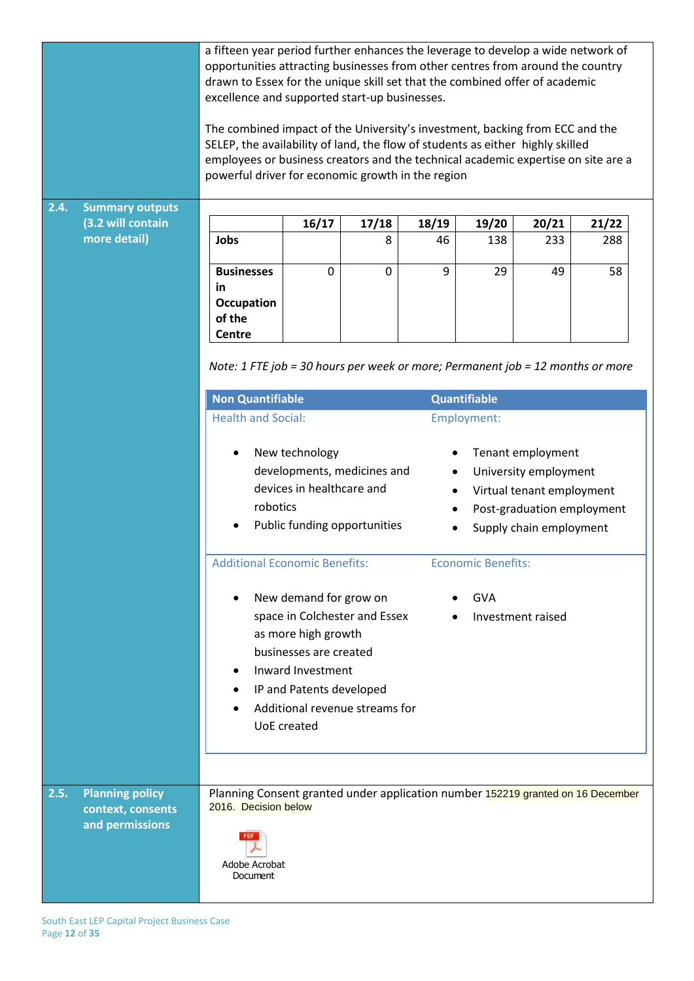|      |                                                                | a fifteen year period further enhances the leverage to develop a wide network of<br>opportunities attracting businesses from other centres from around the country<br>drawn to Essex for the unique skill set that the combined offer of academic<br>excellence and supported start-up businesses.<br>The combined impact of the University's investment, backing from ECC and the<br>SELEP, the availability of land, the flow of students as either highly skilled<br>employees or business creators and the technical academic expertise on site are a<br>powerful driver for economic growth in the region |                                                                                                                                                |                                                                 |                |                                         |                                                                                                                                  |       |
|------|----------------------------------------------------------------|----------------------------------------------------------------------------------------------------------------------------------------------------------------------------------------------------------------------------------------------------------------------------------------------------------------------------------------------------------------------------------------------------------------------------------------------------------------------------------------------------------------------------------------------------------------------------------------------------------------|------------------------------------------------------------------------------------------------------------------------------------------------|-----------------------------------------------------------------|----------------|-----------------------------------------|----------------------------------------------------------------------------------------------------------------------------------|-------|
|      |                                                                |                                                                                                                                                                                                                                                                                                                                                                                                                                                                                                                                                                                                                |                                                                                                                                                |                                                                 |                |                                         |                                                                                                                                  |       |
| 2.4. | <b>Summary outputs</b>                                         |                                                                                                                                                                                                                                                                                                                                                                                                                                                                                                                                                                                                                |                                                                                                                                                |                                                                 |                |                                         |                                                                                                                                  |       |
|      | (3.2 will contain                                              |                                                                                                                                                                                                                                                                                                                                                                                                                                                                                                                                                                                                                | 16/17                                                                                                                                          | 17/18                                                           | 18/19          | 19/20                                   | 20/21                                                                                                                            | 21/22 |
|      | more detail)                                                   | Jobs                                                                                                                                                                                                                                                                                                                                                                                                                                                                                                                                                                                                           |                                                                                                                                                | 8                                                               | 46             | 138                                     | 233                                                                                                                              | 288   |
|      |                                                                | <b>Businesses</b><br>in<br>Occupation<br>of the<br>Centre                                                                                                                                                                                                                                                                                                                                                                                                                                                                                                                                                      | $\mathbf 0$                                                                                                                                    | $\mathbf 0$                                                     | 9              | 29                                      | 49                                                                                                                               | 58    |
|      |                                                                | Note: 1 FTE job = 30 hours per week or more; Permanent job = 12 months or more<br><b>Non Quantifiable</b><br><b>Health and Social:</b>                                                                                                                                                                                                                                                                                                                                                                                                                                                                         |                                                                                                                                                |                                                                 |                | <b>Quantifiable</b><br>Employment:      |                                                                                                                                  |       |
|      |                                                                | robotics                                                                                                                                                                                                                                                                                                                                                                                                                                                                                                                                                                                                       | New technology<br>devices in healthcare and                                                                                                    | developments, medicines and<br>Public funding opportunities     | ٠<br>$\bullet$ |                                         | Tenant employment<br>University employment<br>Virtual tenant employment<br>Post-graduation employment<br>Supply chain employment |       |
|      |                                                                | <b>Additional Economic Benefits:</b>                                                                                                                                                                                                                                                                                                                                                                                                                                                                                                                                                                           | New demand for grow on<br>as more high growth<br>businesses are created<br>Inward Investment<br>IP and Patents developed<br><b>UoE</b> created | space in Colchester and Essex<br>Additional revenue streams for |                | <b>Economic Benefits:</b><br><b>GVA</b> | Investment raised                                                                                                                |       |
| 2.5. | <b>Planning policy</b><br>context, consents<br>and permissions | Planning Consent granted under application number 152219 granted on 16 December<br>2016. Decision below<br>Adobe Acrobat<br>Document                                                                                                                                                                                                                                                                                                                                                                                                                                                                           |                                                                                                                                                |                                                                 |                |                                         |                                                                                                                                  |       |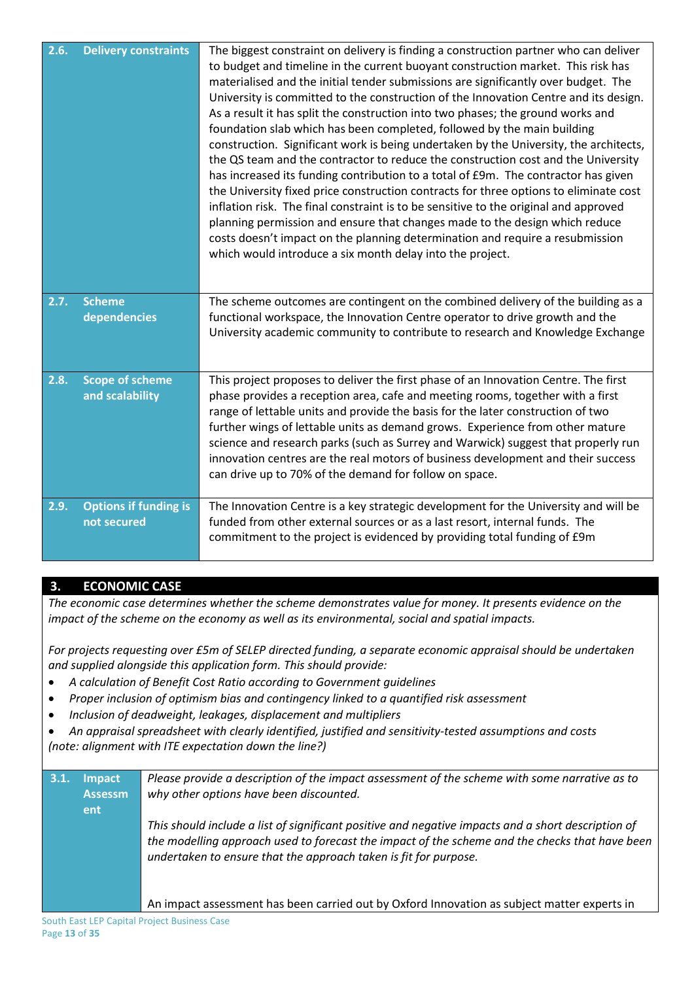| 2.6. | <b>Delivery constraints</b>                 | The biggest constraint on delivery is finding a construction partner who can deliver<br>to budget and timeline in the current buoyant construction market. This risk has<br>materialised and the initial tender submissions are significantly over budget. The<br>University is committed to the construction of the Innovation Centre and its design.<br>As a result it has split the construction into two phases; the ground works and<br>foundation slab which has been completed, followed by the main building<br>construction. Significant work is being undertaken by the University, the architects,<br>the QS team and the contractor to reduce the construction cost and the University<br>has increased its funding contribution to a total of £9m. The contractor has given<br>the University fixed price construction contracts for three options to eliminate cost<br>inflation risk. The final constraint is to be sensitive to the original and approved<br>planning permission and ensure that changes made to the design which reduce<br>costs doesn't impact on the planning determination and require a resubmission<br>which would introduce a six month delay into the project. |
|------|---------------------------------------------|--------------------------------------------------------------------------------------------------------------------------------------------------------------------------------------------------------------------------------------------------------------------------------------------------------------------------------------------------------------------------------------------------------------------------------------------------------------------------------------------------------------------------------------------------------------------------------------------------------------------------------------------------------------------------------------------------------------------------------------------------------------------------------------------------------------------------------------------------------------------------------------------------------------------------------------------------------------------------------------------------------------------------------------------------------------------------------------------------------------------------------------------------------------------------------------------------------|
| 2.7. | <b>Scheme</b><br>dependencies               | The scheme outcomes are contingent on the combined delivery of the building as a<br>functional workspace, the Innovation Centre operator to drive growth and the<br>University academic community to contribute to research and Knowledge Exchange                                                                                                                                                                                                                                                                                                                                                                                                                                                                                                                                                                                                                                                                                                                                                                                                                                                                                                                                                     |
| 2.8. | <b>Scope of scheme</b><br>and scalability   | This project proposes to deliver the first phase of an Innovation Centre. The first<br>phase provides a reception area, cafe and meeting rooms, together with a first<br>range of lettable units and provide the basis for the later construction of two<br>further wings of lettable units as demand grows. Experience from other mature<br>science and research parks (such as Surrey and Warwick) suggest that properly run<br>innovation centres are the real motors of business development and their success<br>can drive up to 70% of the demand for follow on space.                                                                                                                                                                                                                                                                                                                                                                                                                                                                                                                                                                                                                           |
| 2.9. | <b>Options if funding is</b><br>not secured | The Innovation Centre is a key strategic development for the University and will be<br>funded from other external sources or as a last resort, internal funds. The<br>commitment to the project is evidenced by providing total funding of £9m                                                                                                                                                                                                                                                                                                                                                                                                                                                                                                                                                                                                                                                                                                                                                                                                                                                                                                                                                         |

# **3. ECONOMIC CASE**

*The economic case determines whether the scheme demonstrates value for money. It presents evidence on the impact of the scheme on the economy as well as its environmental, social and spatial impacts.*

*For projects requesting over £5m of SELEP directed funding, a separate economic appraisal should be undertaken and supplied alongside this application form. This should provide:*

- *A calculation of Benefit Cost Ratio according to Government guidelines*
- *Proper inclusion of optimism bias and contingency linked to a quantified risk assessment*
- *Inclusion of deadweight, leakages, displacement and multipliers*

 *An appraisal spreadsheet with clearly identified, justified and sensitivity-tested assumptions and costs (note: alignment with ITE expectation down the line?)*

| 3.1 | <b>Impact</b><br><b>Assessm</b><br><b>ent</b> | Please provide a description of the impact assessment of the scheme with some narrative as to<br>why other options have been discounted.                                                                                                                                 |
|-----|-----------------------------------------------|--------------------------------------------------------------------------------------------------------------------------------------------------------------------------------------------------------------------------------------------------------------------------|
|     |                                               | This should include a list of significant positive and negative impacts and a short description of<br>the modelling approach used to forecast the impact of the scheme and the checks that have been<br>undertaken to ensure that the approach taken is fit for purpose. |
|     |                                               | An impact assessment has been carried out by Oxford Innovation as subject matter experts in                                                                                                                                                                              |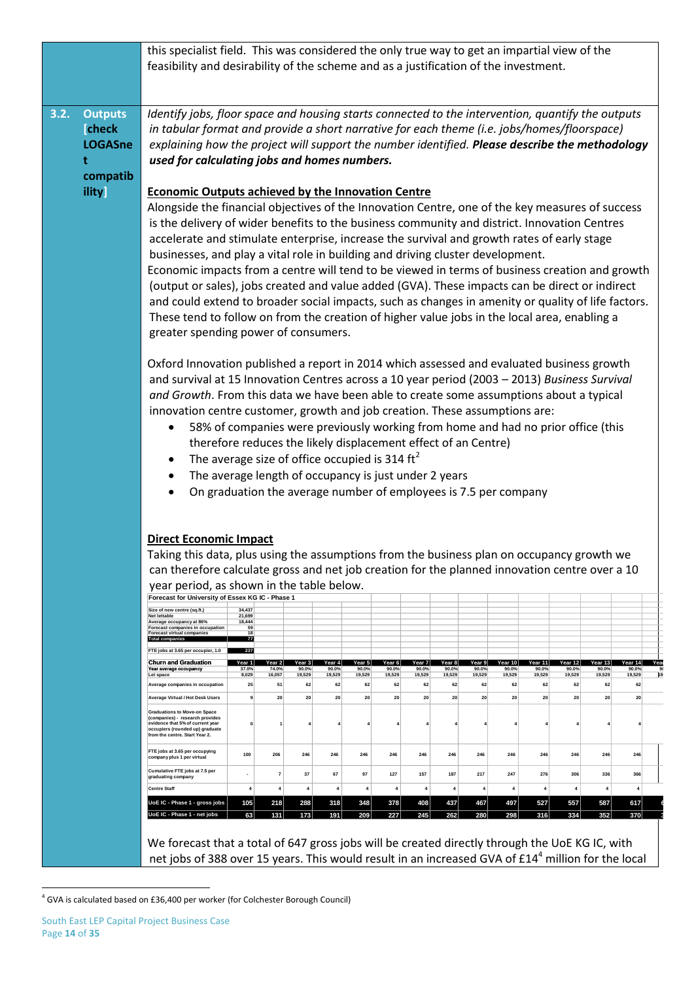|      |                                                  | this specialist field. This was considered the only true way to get an impartial view of the<br>feasibility and desirability of the scheme and as a justification of the investment.                                                                                                                                                                                                                                                                                                                                                                                                                                                                                                                                                                                                                                                                                                                                                                                                                                                                                                                                                                                                                                                                                                                                                                                                                                                                                                                                                                                                                                                                 |                                              |                           |                           |                           |                           |                           |                           |                           |                           |                            |                            |                            |                             |                                         |
|------|--------------------------------------------------|------------------------------------------------------------------------------------------------------------------------------------------------------------------------------------------------------------------------------------------------------------------------------------------------------------------------------------------------------------------------------------------------------------------------------------------------------------------------------------------------------------------------------------------------------------------------------------------------------------------------------------------------------------------------------------------------------------------------------------------------------------------------------------------------------------------------------------------------------------------------------------------------------------------------------------------------------------------------------------------------------------------------------------------------------------------------------------------------------------------------------------------------------------------------------------------------------------------------------------------------------------------------------------------------------------------------------------------------------------------------------------------------------------------------------------------------------------------------------------------------------------------------------------------------------------------------------------------------------------------------------------------------------|----------------------------------------------|---------------------------|---------------------------|---------------------------|---------------------------|---------------------------|---------------------------|---------------------------|---------------------------|----------------------------|----------------------------|----------------------------|-----------------------------|-----------------------------------------|
| 3.2. | <b>Outputs</b><br><b>Check</b><br><b>LOGASne</b> | Identify jobs, floor space and housing starts connected to the intervention, quantify the outputs<br>in tabular format and provide a short narrative for each theme (i.e. jobs/homes/floorspace)<br>explaining how the project will support the number identified. Please describe the methodology                                                                                                                                                                                                                                                                                                                                                                                                                                                                                                                                                                                                                                                                                                                                                                                                                                                                                                                                                                                                                                                                                                                                                                                                                                                                                                                                                   |                                              |                           |                           |                           |                           |                           |                           |                           |                           |                            |                            |                            |                             |                                         |
|      | t                                                | used for calculating jobs and homes numbers.                                                                                                                                                                                                                                                                                                                                                                                                                                                                                                                                                                                                                                                                                                                                                                                                                                                                                                                                                                                                                                                                                                                                                                                                                                                                                                                                                                                                                                                                                                                                                                                                         |                                              |                           |                           |                           |                           |                           |                           |                           |                           |                            |                            |                            |                             |                                         |
|      | compatib                                         |                                                                                                                                                                                                                                                                                                                                                                                                                                                                                                                                                                                                                                                                                                                                                                                                                                                                                                                                                                                                                                                                                                                                                                                                                                                                                                                                                                                                                                                                                                                                                                                                                                                      |                                              |                           |                           |                           |                           |                           |                           |                           |                           |                            |                            |                            |                             |                                         |
|      | <b>ility</b>                                     | <b>Economic Outputs achieved by the Innovation Centre</b><br>Alongside the financial objectives of the Innovation Centre, one of the key measures of success<br>is the delivery of wider benefits to the business community and district. Innovation Centres<br>accelerate and stimulate enterprise, increase the survival and growth rates of early stage<br>businesses, and play a vital role in building and driving cluster development.<br>Economic impacts from a centre will tend to be viewed in terms of business creation and growth<br>(output or sales), jobs created and value added (GVA). These impacts can be direct or indirect<br>and could extend to broader social impacts, such as changes in amenity or quality of life factors.<br>These tend to follow on from the creation of higher value jobs in the local area, enabling a<br>greater spending power of consumers.<br>Oxford Innovation published a report in 2014 which assessed and evaluated business growth<br>and survival at 15 Innovation Centres across a 10 year period (2003 - 2013) Business Survival<br>and Growth. From this data we have been able to create some assumptions about a typical<br>innovation centre customer, growth and job creation. These assumptions are:<br>58% of companies were previously working from home and had no prior office (this<br>٠<br>therefore reduces the likely displacement effect of an Centre)<br>The average size of office occupied is 314 $\text{ft}^2$<br>The average length of occupancy is just under 2 years<br>$\bullet$<br>On graduation the average number of employees is 7.5 per company<br>$\bullet$ |                                              |                           |                           |                           |                           |                           |                           |                           |                           |                            |                            |                            |                             |                                         |
|      |                                                  | <b>Direct Economic Impact</b><br>Taking this data, plus using the assumptions from the business plan on occupancy growth we<br>can therefore calculate gross and net job creation for the planned innovation centre over a 10                                                                                                                                                                                                                                                                                                                                                                                                                                                                                                                                                                                                                                                                                                                                                                                                                                                                                                                                                                                                                                                                                                                                                                                                                                                                                                                                                                                                                        |                                              |                           |                           |                           |                           |                           |                           |                           |                           |                            |                            |                            |                             |                                         |
|      |                                                  | year period, as shown in the table below.<br>Forecast for University of Essex KG IC - Phase 1                                                                                                                                                                                                                                                                                                                                                                                                                                                                                                                                                                                                                                                                                                                                                                                                                                                                                                                                                                                                                                                                                                                                                                                                                                                                                                                                                                                                                                                                                                                                                        |                                              |                           |                           |                           |                           |                           |                           |                           |                           |                            |                            |                            |                             |                                         |
|      |                                                  | Size of new centre (sq.ft.)<br><b>Net lettable</b><br>Average occupancy at 86%<br><b>Forecast companies in occupation</b><br>Forecast virtual companies<br><b>Total companies</b>                                                                                                                                                                                                                                                                                                                                                                                                                                                                                                                                                                                                                                                                                                                                                                                                                                                                                                                                                                                                                                                                                                                                                                                                                                                                                                                                                                                                                                                                    | 34.437<br>21,699<br>18,444<br>59<br>18<br>77 |                           |                           |                           |                           |                           |                           |                           |                           |                            |                            |                            |                             |                                         |
|      |                                                  | FTE jobs at 3.65 per occupier, 1.0                                                                                                                                                                                                                                                                                                                                                                                                                                                                                                                                                                                                                                                                                                                                                                                                                                                                                                                                                                                                                                                                                                                                                                                                                                                                                                                                                                                                                                                                                                                                                                                                                   | 237                                          |                           |                           |                           |                           |                           |                           |                           |                           |                            |                            |                            |                             |                                         |
|      |                                                  | <b>Churn and Graduation</b><br>Year average occupancy<br>Let space                                                                                                                                                                                                                                                                                                                                                                                                                                                                                                                                                                                                                                                                                                                                                                                                                                                                                                                                                                                                                                                                                                                                                                                                                                                                                                                                                                                                                                                                                                                                                                                   | Year 1<br>37.0%<br>8,029                     | Year 2<br>74.0%<br>16,057 | Year 3<br>90.0%<br>19,529 | Year 4<br>90.0%<br>19,529 | Year 5<br>90.0%<br>19.529 | Year 6<br>90.0%<br>19.529 | Year 7<br>90.0%<br>19,529 | Year 8<br>90.0%<br>19,529 | Year 9<br>90.0%<br>19,529 | Year 10<br>90.0%<br>19,529 | Year 11<br>90.0%<br>19.529 | Year 12<br>90.0%<br>19.529 | rear 13l<br>90.0%<br>19.529 | Year 14<br>Yea<br>90.0%<br>19.529<br>19 |
|      |                                                  | Average companies in occupation<br>Average Virtual / Hot Desk Users                                                                                                                                                                                                                                                                                                                                                                                                                                                                                                                                                                                                                                                                                                                                                                                                                                                                                                                                                                                                                                                                                                                                                                                                                                                                                                                                                                                                                                                                                                                                                                                  | 25<br>9                                      | 51<br>20                  | 62<br>20                  | 62<br>20                  | 62<br>20                  | 62<br>20                  | 62<br>20                  | 62<br>20                  | 62<br>20                  | 62<br>20                   | 62<br>20                   | 62<br>20                   | 62<br>20                    | 62<br>20                                |
|      |                                                  | <b>Graduations to Move-on Space</b><br>(companies) - research provides<br>evidence that 5% of current year<br>occupiers (rounded up) graduate<br>from the centre. Start Year 2.                                                                                                                                                                                                                                                                                                                                                                                                                                                                                                                                                                                                                                                                                                                                                                                                                                                                                                                                                                                                                                                                                                                                                                                                                                                                                                                                                                                                                                                                      |                                              |                           |                           |                           |                           |                           |                           |                           |                           |                            |                            |                            |                             |                                         |
|      |                                                  | FTE jobs at 3.65 per occupying<br>company plus 1 per virtual                                                                                                                                                                                                                                                                                                                                                                                                                                                                                                                                                                                                                                                                                                                                                                                                                                                                                                                                                                                                                                                                                                                                                                                                                                                                                                                                                                                                                                                                                                                                                                                         | 100                                          | 206                       | 246                       | 246                       | 246                       | 246                       | 246                       | 246                       | 246                       | 246                        | 246                        | 246                        | 246                         | 246                                     |
|      |                                                  | Cumulative FTE jobs at 7.5 per<br>graduating company                                                                                                                                                                                                                                                                                                                                                                                                                                                                                                                                                                                                                                                                                                                                                                                                                                                                                                                                                                                                                                                                                                                                                                                                                                                                                                                                                                                                                                                                                                                                                                                                 |                                              |                           | 37                        | 67                        | 97                        | 127                       | 157                       | 187                       | 217                       | 247                        | 276                        | 306                        | 336                         | 366                                     |
|      |                                                  | <b>Centre Staff</b>                                                                                                                                                                                                                                                                                                                                                                                                                                                                                                                                                                                                                                                                                                                                                                                                                                                                                                                                                                                                                                                                                                                                                                                                                                                                                                                                                                                                                                                                                                                                                                                                                                  | 4                                            |                           | $\overline{4}$            | $\overline{4}$            | $\overline{4}$            | $\overline{4}$            | 4                         | $\overline{4}$            | 4                         | $\boldsymbol{4}$           | $\boldsymbol{4}$           | $\overline{4}$             | $\overline{4}$              | $\boldsymbol{4}$                        |
|      |                                                  | UoE IC - Phase 1 - gross jobs                                                                                                                                                                                                                                                                                                                                                                                                                                                                                                                                                                                                                                                                                                                                                                                                                                                                                                                                                                                                                                                                                                                                                                                                                                                                                                                                                                                                                                                                                                                                                                                                                        | 105                                          | 218                       | 288                       | 318                       | 348                       | 378                       | 408                       | 437                       | 467                       | 497                        | 527                        | 557                        | 587                         | 617                                     |
|      |                                                  | UoE IC - Phase 1 - net jobs<br>63<br>173<br>209<br>245<br>262<br>280<br>316<br>334<br>131<br>191<br>227<br>298<br>We forecast that a total of 647 gross jobs will be created directly through the UoE KG IC, with<br>net jobs of 388 over 15 years. This would result in an increased GVA of £14 <sup>4</sup> million for the local                                                                                                                                                                                                                                                                                                                                                                                                                                                                                                                                                                                                                                                                                                                                                                                                                                                                                                                                                                                                                                                                                                                                                                                                                                                                                                                  |                                              |                           |                           |                           |                           |                           |                           |                           | 352                       | 370                        |                            |                            |                             |                                         |

 $\frac{1}{4}$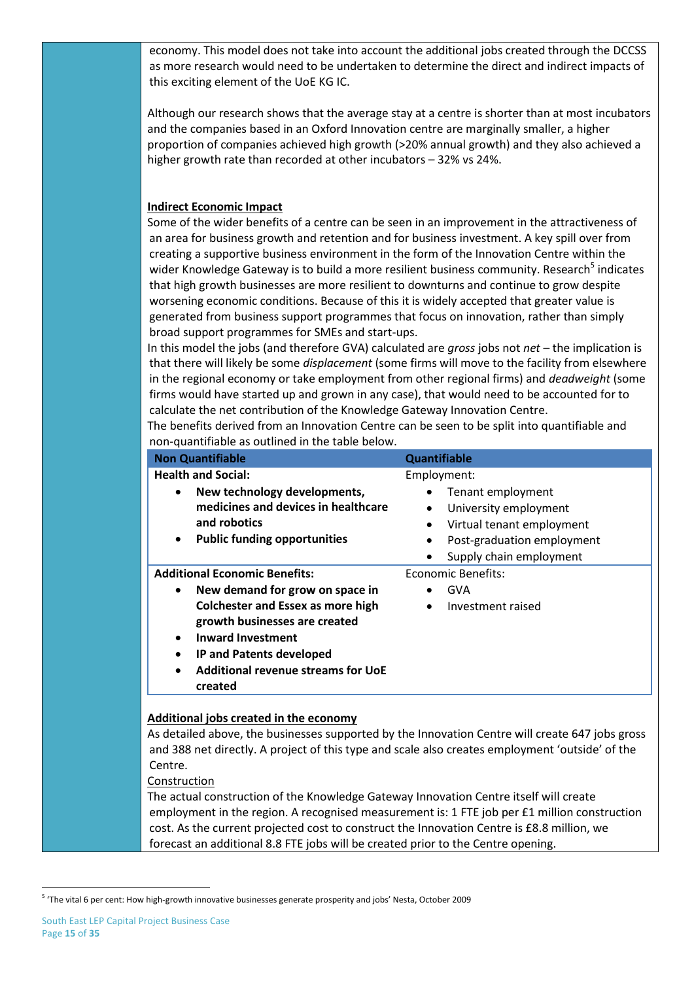economy. This model does not take into account the additional jobs created through the DCCSS as more research would need to be undertaken to determine the direct and indirect impacts of this exciting element of the UoE KG IC.

Although our research shows that the average stay at a centre is shorter than at most incubators and the companies based in an Oxford Innovation centre are marginally smaller, a higher proportion of companies achieved high growth (>20% annual growth) and they also achieved a higher growth rate than recorded at other incubators – 32% vs 24%.

### **Indirect Economic Impact**

Some of the wider benefits of a centre can be seen in an improvement in the attractiveness of an area for business growth and retention and for business investment. A key spill over from creating a supportive business environment in the form of the Innovation Centre within the wider Knowledge Gateway is to build a more resilient business community. Research<sup>5</sup> indicates that high growth businesses are more resilient to downturns and continue to grow despite worsening economic conditions. Because of this it is widely accepted that greater value is generated from business support programmes that focus on innovation, rather than simply broad support programmes for SMEs and start-ups.

In this model the jobs (and therefore GVA) calculated are *gross* jobs not *net* – the implication is that there will likely be some *displacement* (some firms will move to the facility from elsewhere in the regional economy or take employment from other regional firms) and *deadweight* (some firms would have started up and grown in any case), that would need to be accounted for to calculate the net contribution of the Knowledge Gateway Innovation Centre.

The benefits derived from an Innovation Centre can be seen to be split into quantifiable and non-quantifiable as outlined in the table below.

| <b>Non Quantifiable</b>                                                                                                                                                                                                                                                                                                         | <b>Quantifiable</b>                                                                                                                                                                                 |
|---------------------------------------------------------------------------------------------------------------------------------------------------------------------------------------------------------------------------------------------------------------------------------------------------------------------------------|-----------------------------------------------------------------------------------------------------------------------------------------------------------------------------------------------------|
| <b>Health and Social:</b><br>New technology developments,<br>$\bullet$<br>medicines and devices in healthcare<br>and robotics<br><b>Public funding opportunities</b><br>$\bullet$                                                                                                                                               | Employment:<br>Tenant employment<br>$\bullet$<br>University employment<br>$\bullet$<br>Virtual tenant employment<br>$\bullet$<br>Post-graduation employment<br>$\bullet$<br>Supply chain employment |
| <b>Additional Economic Benefits:</b><br>New demand for grow on space in<br>$\bullet$<br><b>Colchester and Essex as more high</b><br>growth businesses are created<br><b>Inward Investment</b><br>$\bullet$<br><b>IP and Patents developed</b><br>$\bullet$<br><b>Additional revenue streams for UoE</b><br>$\bullet$<br>created | Economic Benefits:<br><b>GVA</b><br>Investment raised<br>$\bullet$                                                                                                                                  |

As detailed above, the businesses supported by the Innovation Centre will create 647 jobs gross and 388 net directly. A project of this type and scale also creates employment 'outside' of the Centre.

#### Construction

The actual construction of the Knowledge Gateway Innovation Centre itself will create employment in the region. A recognised measurement is: 1 FTE job per £1 million construction cost. As the current projected cost to construct the Innovation Centre is £8.8 million, we forecast an additional 8.8 FTE jobs will be created prior to the Centre opening.

1

<sup>&</sup>lt;sup>5</sup> 'The vital 6 per cent: How high-growth innovative businesses generate prosperity and jobs' Nesta, October 2009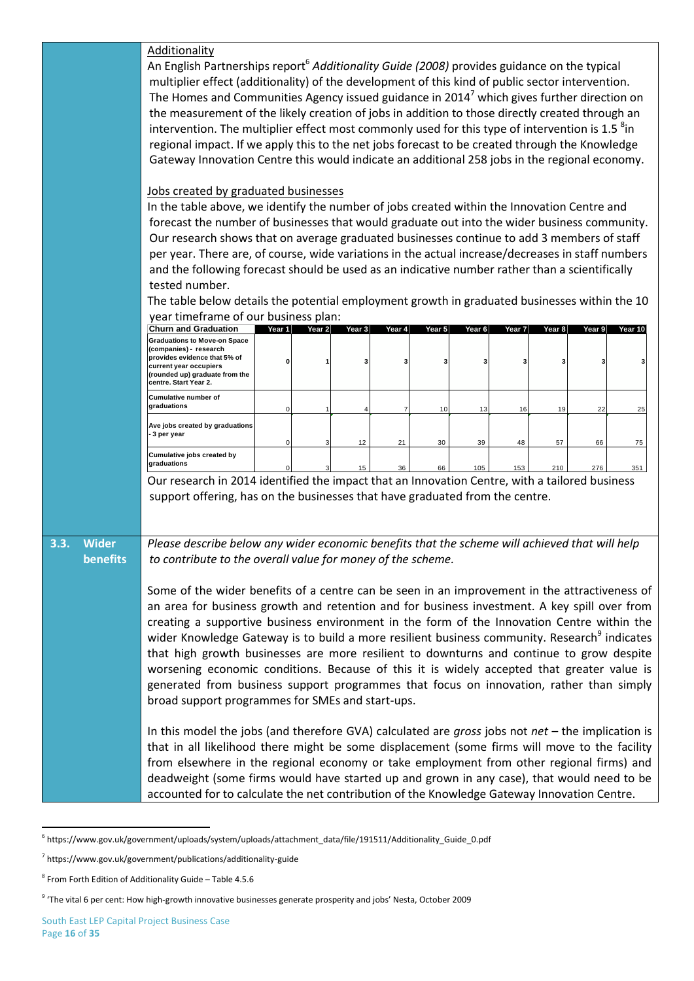|                      | Additionality<br>An English Partnerships report <sup>6</sup> Additionality Guide (2008) provides guidance on the typical<br>multiplier effect (additionality) of the development of this kind of public sector intervention.                                                                                             |        |        |        |        |        |        |        |        |          |         |
|----------------------|--------------------------------------------------------------------------------------------------------------------------------------------------------------------------------------------------------------------------------------------------------------------------------------------------------------------------|--------|--------|--------|--------|--------|--------|--------|--------|----------|---------|
|                      | The Homes and Communities Agency issued guidance in 2014 <sup>7</sup> which gives further direction on<br>the measurement of the likely creation of jobs in addition to those directly created through an<br>intervention. The multiplier effect most commonly used for this type of intervention is 1.5 <sup>8</sup> in |        |        |        |        |        |        |        |        |          |         |
|                      | regional impact. If we apply this to the net jobs forecast to be created through the Knowledge<br>Gateway Innovation Centre this would indicate an additional 258 jobs in the regional economy.                                                                                                                          |        |        |        |        |        |        |        |        |          |         |
|                      |                                                                                                                                                                                                                                                                                                                          |        |        |        |        |        |        |        |        |          |         |
|                      | Jobs created by graduated businesses<br>In the table above, we identify the number of jobs created within the Innovation Centre and                                                                                                                                                                                      |        |        |        |        |        |        |        |        |          |         |
|                      | forecast the number of businesses that would graduate out into the wider business community.<br>Our research shows that on average graduated businesses continue to add 3 members of staff                                                                                                                               |        |        |        |        |        |        |        |        |          |         |
|                      | per year. There are, of course, wide variations in the actual increase/decreases in staff numbers                                                                                                                                                                                                                        |        |        |        |        |        |        |        |        |          |         |
|                      | and the following forecast should be used as an indicative number rather than a scientifically                                                                                                                                                                                                                           |        |        |        |        |        |        |        |        |          |         |
|                      | tested number.                                                                                                                                                                                                                                                                                                           |        |        |        |        |        |        |        |        |          |         |
|                      | The table below details the potential employment growth in graduated businesses within the 10                                                                                                                                                                                                                            |        |        |        |        |        |        |        |        |          |         |
|                      | year timeframe of our business plan:<br><b>Churn and Graduation</b>                                                                                                                                                                                                                                                      | Year 1 | Year 2 | Year 3 | Year 4 | Year 5 | Year 6 | Year 7 | Year 8 | Year $9$ | Year 10 |
|                      | <b>Graduations to Move-on Space</b><br>(companies) - research                                                                                                                                                                                                                                                            |        |        |        |        |        |        |        |        |          |         |
|                      | provides evidence that 5% of<br>current year occupiers<br>(rounded up) graduate from the<br>centre. Start Year 2.                                                                                                                                                                                                        |        |        |        |        | 3      | 3      | з      |        |          |         |
|                      | Cumulative number of<br>graduations                                                                                                                                                                                                                                                                                      |        |        |        |        | 10     | 13     | 16     | 19     | 22       | 25      |
|                      | Ave jobs created by graduations<br>3 per year                                                                                                                                                                                                                                                                            |        |        | 12     | 21     | 30     | 39     | 48     | 57     | 66       | 75      |
|                      | Cumulative jobs created by<br>graduations                                                                                                                                                                                                                                                                                |        |        | 15     | 36     | 66     | 105    | 153    | 210    | 276      | 351     |
|                      | Our research in 2014 identified the impact that an Innovation Centre, with a tailored business<br>support offering, has on the businesses that have graduated from the centre.                                                                                                                                           |        |        |        |        |        |        |        |        |          |         |
| 3.3.<br><b>Wider</b> | Please describe below any wider economic benefits that the scheme will achieved that will help                                                                                                                                                                                                                           |        |        |        |        |        |        |        |        |          |         |
| benefits             | to contribute to the overall value for money of the scheme.                                                                                                                                                                                                                                                              |        |        |        |        |        |        |        |        |          |         |
|                      | Some of the wider benefits of a centre can be seen in an improvement in the attractiveness of                                                                                                                                                                                                                            |        |        |        |        |        |        |        |        |          |         |
|                      | an area for business growth and retention and for business investment. A key spill over from<br>creating a supportive business environment in the form of the Innovation Centre within the                                                                                                                               |        |        |        |        |        |        |        |        |          |         |
|                      | wider Knowledge Gateway is to build a more resilient business community. Research <sup>9</sup> indicates                                                                                                                                                                                                                 |        |        |        |        |        |        |        |        |          |         |
|                      | that high growth businesses are more resilient to downturns and continue to grow despite                                                                                                                                                                                                                                 |        |        |        |        |        |        |        |        |          |         |
|                      | worsening economic conditions. Because of this it is widely accepted that greater value is                                                                                                                                                                                                                               |        |        |        |        |        |        |        |        |          |         |
|                      | generated from business support programmes that focus on innovation, rather than simply                                                                                                                                                                                                                                  |        |        |        |        |        |        |        |        |          |         |
|                      | broad support programmes for SMEs and start-ups.                                                                                                                                                                                                                                                                         |        |        |        |        |        |        |        |        |          |         |
|                      | In this model the jobs (and therefore GVA) calculated are gross jobs not $net -$ the implication is                                                                                                                                                                                                                      |        |        |        |        |        |        |        |        |          |         |
|                      | that in all likelihood there might be some displacement (some firms will move to the facility                                                                                                                                                                                                                            |        |        |        |        |        |        |        |        |          |         |
|                      | from elsewhere in the regional economy or take employment from other regional firms) and<br>deadweight (some firms would have started up and grown in any case), that would need to be                                                                                                                                   |        |        |        |        |        |        |        |        |          |         |
|                      | accounted for to calculate the net contribution of the Knowledge Gateway Innovation Centre.                                                                                                                                                                                                                              |        |        |        |        |        |        |        |        |          |         |
|                      |                                                                                                                                                                                                                                                                                                                          |        |        |        |        |        |        |        |        |          |         |
|                      |                                                                                                                                                                                                                                                                                                                          |        |        |        |        |        |        |        |        |          |         |
|                      | <sup>6</sup> https://www.gov.uk/government/uploads/system/uploads/attachment_data/file/191511/Additionality_Guide_0.pdf                                                                                                                                                                                                  |        |        |        |        |        |        |        |        |          |         |
|                      | <sup>7</sup> https://www.gov.uk/government/publications/additionality-guide                                                                                                                                                                                                                                              |        |        |        |        |        |        |        |        |          |         |
|                      | $^8$ From Forth Edition of Additionality Guide - Table 4.5.6                                                                                                                                                                                                                                                             |        |        |        |        |        |        |        |        |          |         |
|                      | <sup>9</sup> 'The vital 6 per cent: How high-growth innovative businesses generate prosperity and jobs' Nesta, October 2009                                                                                                                                                                                              |        |        |        |        |        |        |        |        |          |         |

 6 https://www.gov.uk/government/uploads/system/uploads/attachment\_data/file/191511/Additionality\_Guide\_0.pdf

<sup>7</sup> https://www.gov.uk/government/publications/additionality-guide

<sup>8</sup> From Forth Edition of Additionality Guide – Table 4.5.6

 $9$  'The vital 6 per cent: How high-growth innovative businesses generate prosperity and jobs' Nesta, October 2009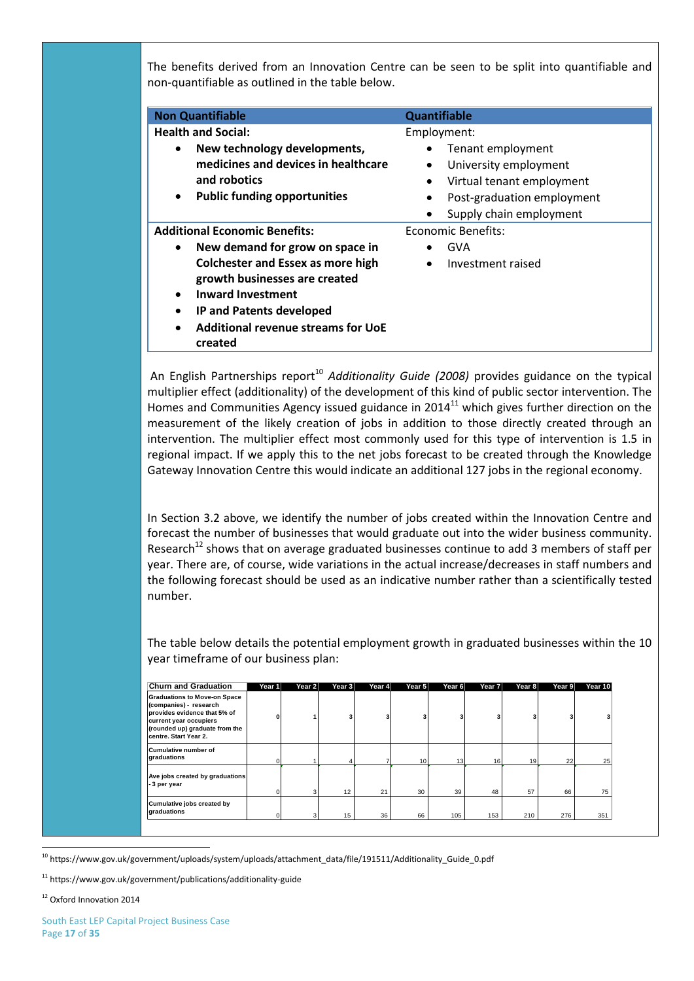The benefits derived from an Innovation Centre can be seen to be split into quantifiable and non-quantifiable as outlined in the table below.

| <b>Non Quantifiable</b>                                                                                                                                                                   | <b>Quantifiable</b>                                                                                                                                |
|-------------------------------------------------------------------------------------------------------------------------------------------------------------------------------------------|----------------------------------------------------------------------------------------------------------------------------------------------------|
| <b>Health and Social:</b>                                                                                                                                                                 | Employment:                                                                                                                                        |
| New technology developments,<br>medicines and devices in healthcare<br>and robotics<br><b>Public funding opportunities</b><br>٠                                                           | Tenant employment<br>University employment<br>$\bullet$<br>Virtual tenant employment<br>Post-graduation employment<br>٠<br>Supply chain employment |
| <b>Additional Economic Benefits:</b>                                                                                                                                                      | Economic Benefits:                                                                                                                                 |
| New demand for grow on space in<br>٠                                                                                                                                                      | GVA                                                                                                                                                |
| <b>Colchester and Essex as more high</b><br>growth businesses are created<br><b>Inward Investment</b><br>IP and Patents developed<br><b>Additional revenue streams for UoE</b><br>created | Investment raised                                                                                                                                  |

An English Partnerships report<sup>10</sup> *Additionality Guide (2008)* provides guidance on the typical multiplier effect (additionality) of the development of this kind of public sector intervention. The Homes and Communities Agency issued guidance in  $2014<sup>11</sup>$  which gives further direction on the measurement of the likely creation of jobs in addition to those directly created through an intervention. The multiplier effect most commonly used for this type of intervention is 1.5 in regional impact. If we apply this to the net jobs forecast to be created through the Knowledge Gateway Innovation Centre this would indicate an additional 127 jobs in the regional economy.

In Section 3.2 above, we identify the number of jobs created within the Innovation Centre and forecast the number of businesses that would graduate out into the wider business community. Research<sup>12</sup> shows that on average graduated businesses continue to add 3 members of staff per year. There are, of course, wide variations in the actual increase/decreases in staff numbers and the following forecast should be used as an indicative number rather than a scientifically tested number.

The table below details the potential employment growth in graduated businesses within the 10 year timeframe of our business plan:

|                                      | <b>Churn and Graduation</b>                                                                                                                                                        | Year 1       | Year 2 | Year $3$ | Year 4 | Year 5 | Year 6 | Year 7 | Year 8 | Year 9 | Year 10 |
|--------------------------------------|------------------------------------------------------------------------------------------------------------------------------------------------------------------------------------|--------------|--------|----------|--------|--------|--------|--------|--------|--------|---------|
|                                      | <b>Graduations to Move-on Space</b><br>(companies) - research<br>provides evidence that 5% of<br>current year occupiers<br>(rounded up) graduate from the<br>centre. Start Year 2. | $\mathbf{0}$ |        | 3        | 3      |        | 3      |        |        | 3      |         |
|                                      | <b>Cumulative number of</b><br>draduations                                                                                                                                         | $\mathbf{0}$ |        |          |        | 10     | 13     | 16     | 19     | 22     | 25      |
|                                      | Ave jobs created by graduations<br>- 3 per year                                                                                                                                    | 0            |        | 12       | 21     | 30     | 39     | 48     | 57     | 66     | 75      |
|                                      | Cumulative jobs created by<br>graduations                                                                                                                                          | $\mathbf{0}$ |        | 15       | 36     | 66     | 105    | 153    | 210    | 276    | 351     |
|                                      |                                                                                                                                                                                    |              |        |          |        |        |        |        |        |        |         |
|                                      | <sup>10</sup> https://www.gov.uk/government/uploads/system/uploads/attachment_data/file/191511/Additionality_Guide_0.pdf                                                           |              |        |          |        |        |        |        |        |        |         |
|                                      | <sup>11</sup> https://www.gov.uk/government/publications/additionality-guide                                                                                                       |              |        |          |        |        |        |        |        |        |         |
| <sup>12</sup> Oxford Innovation 2014 |                                                                                                                                                                                    |              |        |          |        |        |        |        |        |        |         |

<sup>1</sup> <sup>10</sup> https://www.gov.uk/government/uploads/system/uploads/attachment\_data/file/191511/Additionality\_Guide\_0.pdf

<sup>11</sup> https://www.gov.uk/government/publications/additionality-guide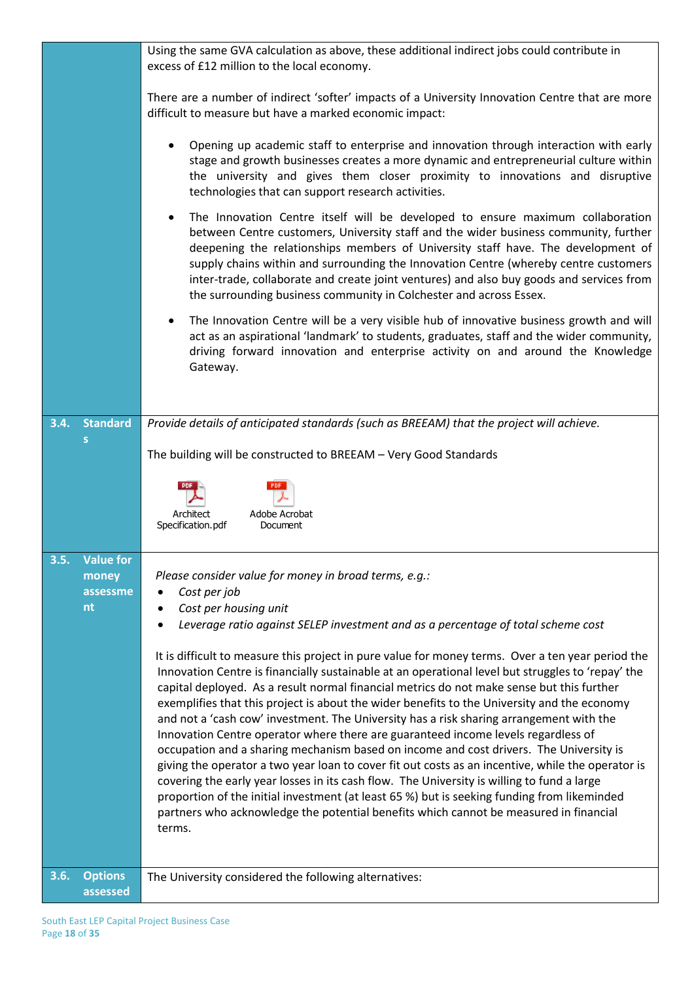|      |                            | Using the same GVA calculation as above, these additional indirect jobs could contribute in<br>excess of £12 million to the local economy.                                                                                                                                                                                                                                                                                                                                                                                                                                                                                                                                                                                                                                                                                                                                                                                                                                                                                                                                        |
|------|----------------------------|-----------------------------------------------------------------------------------------------------------------------------------------------------------------------------------------------------------------------------------------------------------------------------------------------------------------------------------------------------------------------------------------------------------------------------------------------------------------------------------------------------------------------------------------------------------------------------------------------------------------------------------------------------------------------------------------------------------------------------------------------------------------------------------------------------------------------------------------------------------------------------------------------------------------------------------------------------------------------------------------------------------------------------------------------------------------------------------|
|      |                            | There are a number of indirect 'softer' impacts of a University Innovation Centre that are more<br>difficult to measure but have a marked economic impact:                                                                                                                                                                                                                                                                                                                                                                                                                                                                                                                                                                                                                                                                                                                                                                                                                                                                                                                        |
|      |                            | Opening up academic staff to enterprise and innovation through interaction with early<br>stage and growth businesses creates a more dynamic and entrepreneurial culture within<br>the university and gives them closer proximity to innovations and disruptive<br>technologies that can support research activities.                                                                                                                                                                                                                                                                                                                                                                                                                                                                                                                                                                                                                                                                                                                                                              |
|      |                            | The Innovation Centre itself will be developed to ensure maximum collaboration<br>$\bullet$<br>between Centre customers, University staff and the wider business community, further<br>deepening the relationships members of University staff have. The development of<br>supply chains within and surrounding the Innovation Centre (whereby centre customers<br>inter-trade, collaborate and create joint ventures) and also buy goods and services from<br>the surrounding business community in Colchester and across Essex.                                                                                                                                                                                                                                                                                                                                                                                                                                                                                                                                                 |
|      |                            | The Innovation Centre will be a very visible hub of innovative business growth and will<br>$\bullet$<br>act as an aspirational 'landmark' to students, graduates, staff and the wider community,<br>driving forward innovation and enterprise activity on and around the Knowledge<br>Gateway.                                                                                                                                                                                                                                                                                                                                                                                                                                                                                                                                                                                                                                                                                                                                                                                    |
| 3.4. | <b>Standard</b>            | Provide details of anticipated standards (such as BREEAM) that the project will achieve.                                                                                                                                                                                                                                                                                                                                                                                                                                                                                                                                                                                                                                                                                                                                                                                                                                                                                                                                                                                          |
|      | S                          | The building will be constructed to BREEAM - Very Good Standards                                                                                                                                                                                                                                                                                                                                                                                                                                                                                                                                                                                                                                                                                                                                                                                                                                                                                                                                                                                                                  |
|      |                            |                                                                                                                                                                                                                                                                                                                                                                                                                                                                                                                                                                                                                                                                                                                                                                                                                                                                                                                                                                                                                                                                                   |
|      |                            | Adobe Acrobat<br>Architect<br>Specification.pdf<br>Document                                                                                                                                                                                                                                                                                                                                                                                                                                                                                                                                                                                                                                                                                                                                                                                                                                                                                                                                                                                                                       |
| 3.5. | <b>Value for</b>           |                                                                                                                                                                                                                                                                                                                                                                                                                                                                                                                                                                                                                                                                                                                                                                                                                                                                                                                                                                                                                                                                                   |
|      | money<br>assessme          | Please consider value for money in broad terms, e.g.:<br>Cost per job                                                                                                                                                                                                                                                                                                                                                                                                                                                                                                                                                                                                                                                                                                                                                                                                                                                                                                                                                                                                             |
|      | nt                         | Cost per housing unit<br>Leverage ratio against SELEP investment and as a percentage of total scheme cost                                                                                                                                                                                                                                                                                                                                                                                                                                                                                                                                                                                                                                                                                                                                                                                                                                                                                                                                                                         |
|      |                            | It is difficult to measure this project in pure value for money terms. Over a ten year period the<br>Innovation Centre is financially sustainable at an operational level but struggles to 'repay' the<br>capital deployed. As a result normal financial metrics do not make sense but this further<br>exemplifies that this project is about the wider benefits to the University and the economy<br>and not a 'cash cow' investment. The University has a risk sharing arrangement with the<br>Innovation Centre operator where there are guaranteed income levels regardless of<br>occupation and a sharing mechanism based on income and cost drivers. The University is<br>giving the operator a two year loan to cover fit out costs as an incentive, while the operator is<br>covering the early year losses in its cash flow. The University is willing to fund a large<br>proportion of the initial investment (at least 65 %) but is seeking funding from likeminded<br>partners who acknowledge the potential benefits which cannot be measured in financial<br>terms. |
| 3.6. | <b>Options</b><br>assessed | The University considered the following alternatives:                                                                                                                                                                                                                                                                                                                                                                                                                                                                                                                                                                                                                                                                                                                                                                                                                                                                                                                                                                                                                             |
|      |                            |                                                                                                                                                                                                                                                                                                                                                                                                                                                                                                                                                                                                                                                                                                                                                                                                                                                                                                                                                                                                                                                                                   |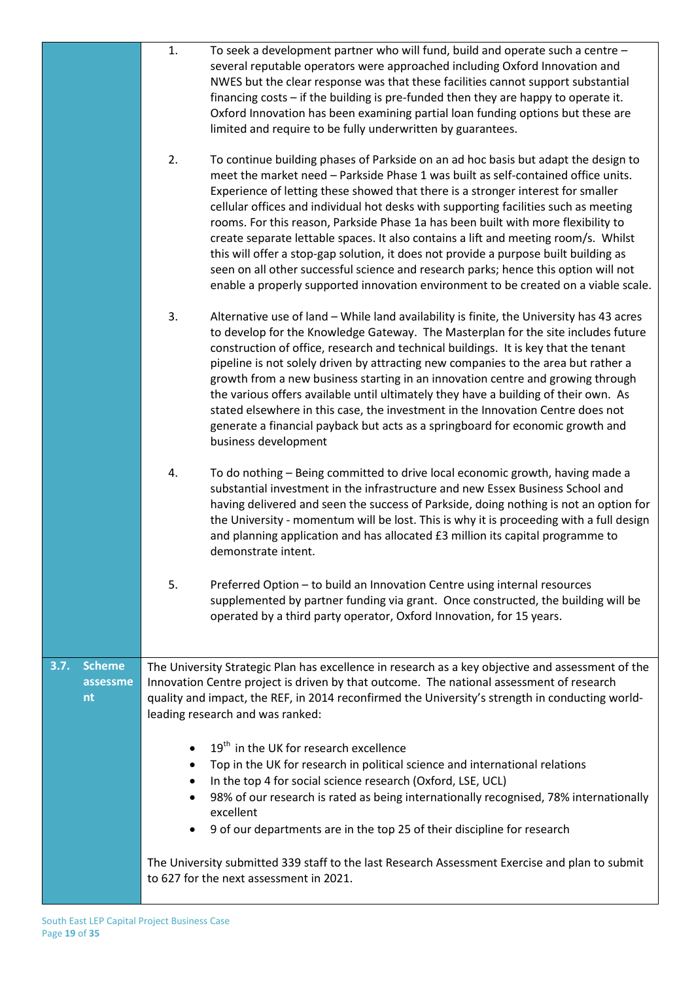|                                         | 1.<br>To seek a development partner who will fund, build and operate such a centre -<br>several reputable operators were approached including Oxford Innovation and<br>NWES but the clear response was that these facilities cannot support substantial<br>financing costs - if the building is pre-funded then they are happy to operate it.<br>Oxford Innovation has been examining partial loan funding options but these are<br>limited and require to be fully underwritten by guarantees.                                                                                                                                                                                                                                                                                                             |
|-----------------------------------------|-------------------------------------------------------------------------------------------------------------------------------------------------------------------------------------------------------------------------------------------------------------------------------------------------------------------------------------------------------------------------------------------------------------------------------------------------------------------------------------------------------------------------------------------------------------------------------------------------------------------------------------------------------------------------------------------------------------------------------------------------------------------------------------------------------------|
|                                         | 2.<br>To continue building phases of Parkside on an ad hoc basis but adapt the design to<br>meet the market need - Parkside Phase 1 was built as self-contained office units.<br>Experience of letting these showed that there is a stronger interest for smaller<br>cellular offices and individual hot desks with supporting facilities such as meeting<br>rooms. For this reason, Parkside Phase 1a has been built with more flexibility to<br>create separate lettable spaces. It also contains a lift and meeting room/s. Whilst<br>this will offer a stop-gap solution, it does not provide a purpose built building as<br>seen on all other successful science and research parks; hence this option will not<br>enable a properly supported innovation environment to be created on a viable scale. |
|                                         | 3.<br>Alternative use of land - While land availability is finite, the University has 43 acres<br>to develop for the Knowledge Gateway. The Masterplan for the site includes future<br>construction of office, research and technical buildings. It is key that the tenant<br>pipeline is not solely driven by attracting new companies to the area but rather a<br>growth from a new business starting in an innovation centre and growing through<br>the various offers available until ultimately they have a building of their own. As<br>stated elsewhere in this case, the investment in the Innovation Centre does not<br>generate a financial payback but acts as a springboard for economic growth and<br>business development                                                                     |
|                                         | To do nothing - Being committed to drive local economic growth, having made a<br>4.<br>substantial investment in the infrastructure and new Essex Business School and<br>having delivered and seen the success of Parkside, doing nothing is not an option for<br>the University - momentum will be lost. This is why it is proceeding with a full design<br>and planning application and has allocated £3 million its capital programme to<br>demonstrate intent.                                                                                                                                                                                                                                                                                                                                          |
|                                         | 5.<br>Preferred Option - to build an Innovation Centre using internal resources<br>supplemented by partner funding via grant. Once constructed, the building will be<br>operated by a third party operator, Oxford Innovation, for 15 years.                                                                                                                                                                                                                                                                                                                                                                                                                                                                                                                                                                |
| <b>Scheme</b><br>3.7.<br>assessme<br>nt | The University Strategic Plan has excellence in research as a key objective and assessment of the<br>Innovation Centre project is driven by that outcome. The national assessment of research<br>quality and impact, the REF, in 2014 reconfirmed the University's strength in conducting world-<br>leading research and was ranked:                                                                                                                                                                                                                                                                                                                                                                                                                                                                        |
|                                         | 19 <sup>th</sup> in the UK for research excellence<br>Top in the UK for research in political science and international relations<br>In the top 4 for social science research (Oxford, LSE, UCL)<br>98% of our research is rated as being internationally recognised, 78% internationally<br>excellent<br>9 of our departments are in the top 25 of their discipline for research                                                                                                                                                                                                                                                                                                                                                                                                                           |
|                                         | The University submitted 339 staff to the last Research Assessment Exercise and plan to submit<br>to 627 for the next assessment in 2021.                                                                                                                                                                                                                                                                                                                                                                                                                                                                                                                                                                                                                                                                   |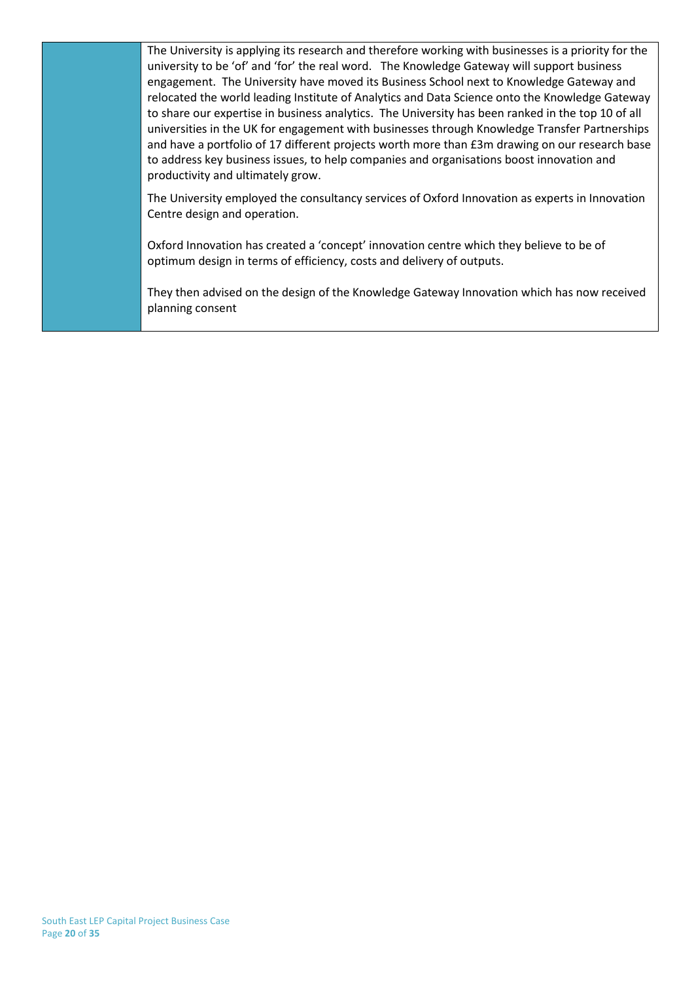The University is applying its research and therefore working with businesses is a priority for the university to be 'of' and 'for' the real word. The Knowledge Gateway will support business engagement. The University have moved its Business School next to Knowledge Gateway and relocated the world leading Institute of Analytics and Data Science onto the Knowledge Gateway to share our expertise in business analytics. The University has been ranked in the top 10 of all universities in the UK for engagement with businesses through Knowledge Transfer Partnerships and have a portfolio of 17 different projects worth more than £3m drawing on our research base to address key business issues, to help companies and organisations boost innovation and productivity and ultimately grow.

The University employed the consultancy services of Oxford Innovation as experts in Innovation Centre design and operation.

Oxford Innovation has created a 'concept' innovation centre which they believe to be of optimum design in terms of efficiency, costs and delivery of outputs.

They then advised on the design of the Knowledge Gateway Innovation which has now received planning consent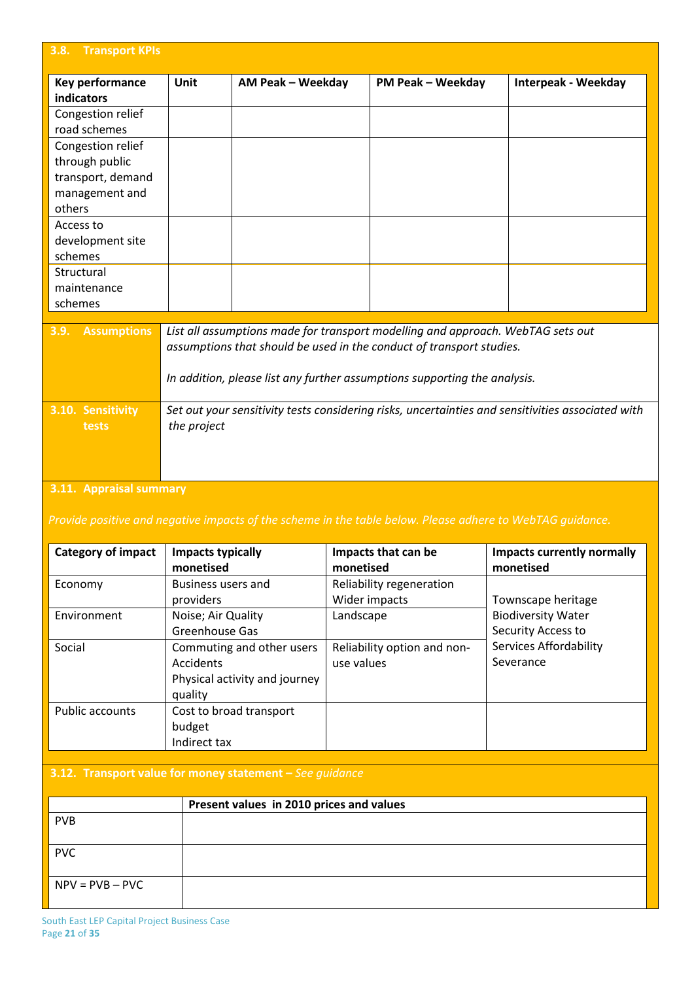| 3.8.<br><b>Transport KPIs</b>       |                                                                                                   |                                                                                                                                                         |                          |                            |  |  |
|-------------------------------------|---------------------------------------------------------------------------------------------------|---------------------------------------------------------------------------------------------------------------------------------------------------------|--------------------------|----------------------------|--|--|
| Key performance<br>indicators       | Unit                                                                                              | AM Peak - Weekday                                                                                                                                       | <b>PM Peak - Weekday</b> | <b>Interpeak - Weekday</b> |  |  |
| Congestion relief                   |                                                                                                   |                                                                                                                                                         |                          |                            |  |  |
| road schemes                        |                                                                                                   |                                                                                                                                                         |                          |                            |  |  |
| Congestion relief<br>through public |                                                                                                   |                                                                                                                                                         |                          |                            |  |  |
| transport, demand                   |                                                                                                   |                                                                                                                                                         |                          |                            |  |  |
| management and                      |                                                                                                   |                                                                                                                                                         |                          |                            |  |  |
| others                              |                                                                                                   |                                                                                                                                                         |                          |                            |  |  |
| Access to                           |                                                                                                   |                                                                                                                                                         |                          |                            |  |  |
| development site                    |                                                                                                   |                                                                                                                                                         |                          |                            |  |  |
| schemes                             |                                                                                                   |                                                                                                                                                         |                          |                            |  |  |
| Structural                          |                                                                                                   |                                                                                                                                                         |                          |                            |  |  |
| maintenance                         |                                                                                                   |                                                                                                                                                         |                          |                            |  |  |
| schemes                             |                                                                                                   |                                                                                                                                                         |                          |                            |  |  |
| <b>Assumptions</b><br>3.9.          |                                                                                                   | List all assumptions made for transport modelling and approach. WebTAG sets out<br>assumptions that should be used in the conduct of transport studies. |                          |                            |  |  |
|                                     | In addition, please list any further assumptions supporting the analysis.                         |                                                                                                                                                         |                          |                            |  |  |
| 3.10. Sensitivity                   | Set out your sensitivity tests considering risks, uncertainties and sensitivities associated with |                                                                                                                                                         |                          |                            |  |  |
| tests                               | the project                                                                                       |                                                                                                                                                         |                          |                            |  |  |
|                                     |                                                                                                   |                                                                                                                                                         |                          |                            |  |  |
|                                     |                                                                                                   |                                                                                                                                                         |                          |                            |  |  |
| 2.11 Annualcal cummany              |                                                                                                   |                                                                                                                                                         |                          |                            |  |  |

#### **3.11. Appraisal summary**

| <b>Category of impact</b> | <b>Impacts typically</b><br>monetised                                              | Impacts that can be<br>monetised          | <b>Impacts currently normally</b><br>monetised  |
|---------------------------|------------------------------------------------------------------------------------|-------------------------------------------|-------------------------------------------------|
| Economy                   | Business users and<br>providers                                                    | Reliability regeneration<br>Wider impacts | Townscape heritage                              |
| Environment               | Noise; Air Quality<br>Greenhouse Gas                                               | Landscape                                 | <b>Biodiversity Water</b><br>Security Access to |
| Social                    | Commuting and other users<br>Accidents<br>Physical activity and journey<br>quality | Reliability option and non-<br>use values | <b>Services Affordability</b><br>Severance      |
| <b>Public accounts</b>    | Cost to broad transport<br>budget<br>Indirect tax                                  |                                           |                                                 |

# **3.12. Transport value for money statement –** *See guidance*

|                   | Present values in 2010 prices and values |
|-------------------|------------------------------------------|
| <b>PVB</b>        |                                          |
| <b>PVC</b>        |                                          |
| $NPV = PVB - PVC$ |                                          |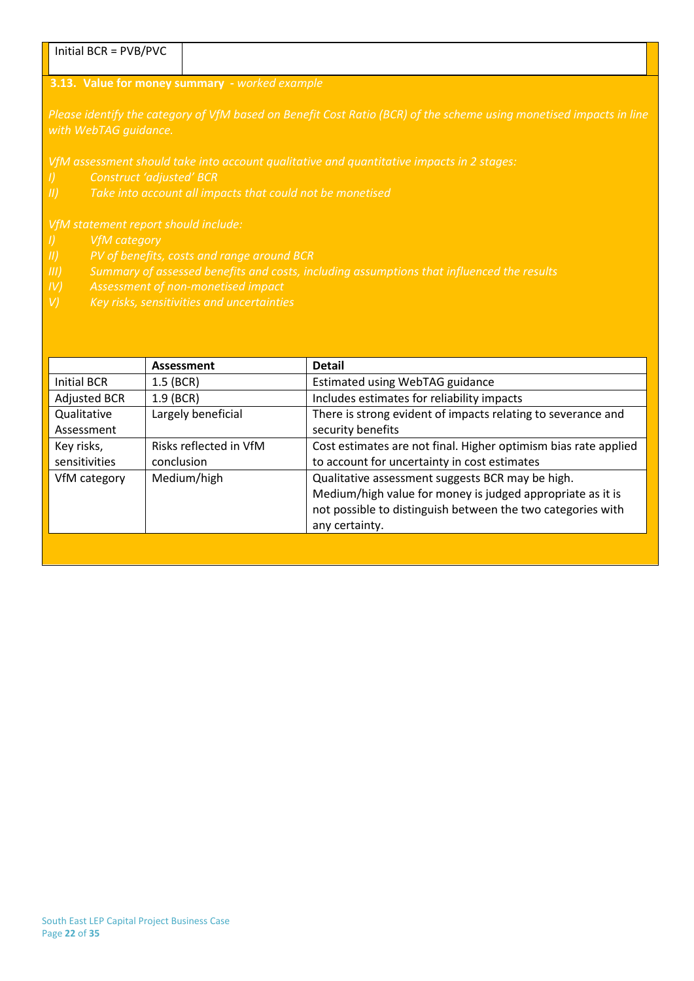| $\blacksquare$ Initial BCR = PVB/PVC |                                                                                                                     |
|--------------------------------------|---------------------------------------------------------------------------------------------------------------------|
|                                      |                                                                                                                     |
|                                      | <b>3.13. Value for money summary</b> - worked example                                                               |
| with WebTAG quidance.                | Please identify the category of VfM based on Benefit Cost Ratio (BCR) of the scheme using monetised impacts in line |

- 
- 
- 
- 
- 

|                     | Assessment             | <b>Detail</b>                                                   |
|---------------------|------------------------|-----------------------------------------------------------------|
| Initial BCR         | $1.5$ (BCR)            | Estimated using WebTAG guidance                                 |
| <b>Adjusted BCR</b> | $1.9$ (BCR)            | Includes estimates for reliability impacts                      |
| Qualitative         | Largely beneficial     | There is strong evident of impacts relating to severance and    |
| Assessment          |                        | security benefits                                               |
| Key risks,          | Risks reflected in VfM | Cost estimates are not final. Higher optimism bias rate applied |
| sensitivities       | conclusion             | to account for uncertainty in cost estimates                    |
| VfM category        | Medium/high            | Qualitative assessment suggests BCR may be high.                |
|                     |                        | Medium/high value for money is judged appropriate as it is      |
|                     |                        | not possible to distinguish between the two categories with     |
|                     |                        | any certainty.                                                  |
|                     |                        |                                                                 |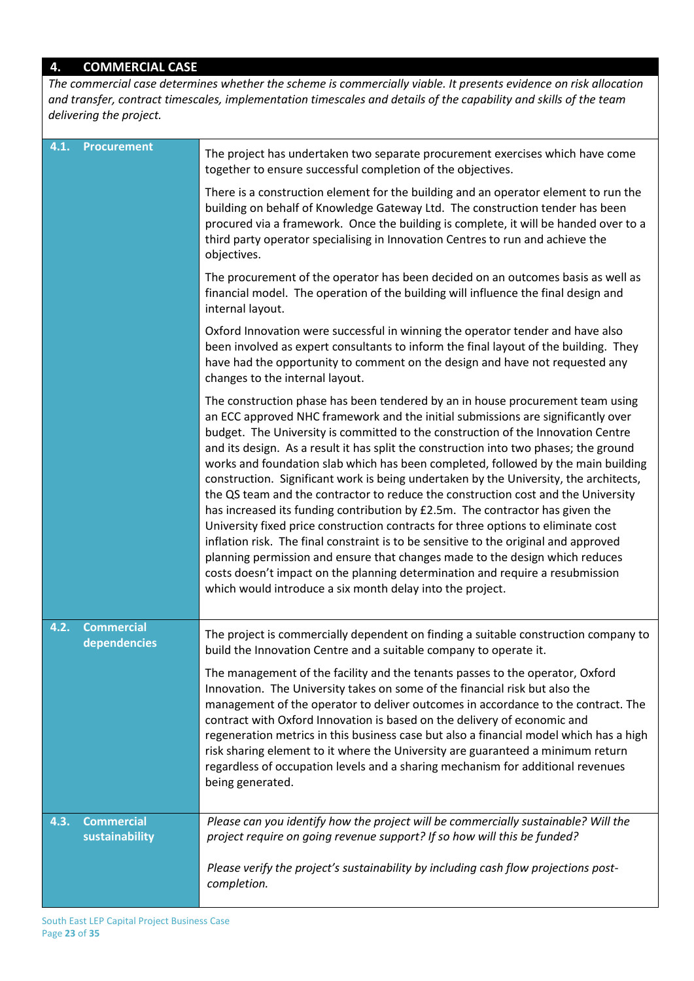# **4. COMMERCIAL CASE**

*The commercial case determines whether the scheme is commercially viable. It presents evidence on risk allocation and transfer, contract timescales, implementation timescales and details of the capability and skills of the team delivering the project.*

| 4.1. | <b>Procurement</b>                  | The project has undertaken two separate procurement exercises which have come<br>together to ensure successful completion of the objectives.                                                                                                                                                                                                                                                                                                                                                                                                                                                                                                                                                                                                                                                                                                                                                                                                                                                                                                                                                                   |
|------|-------------------------------------|----------------------------------------------------------------------------------------------------------------------------------------------------------------------------------------------------------------------------------------------------------------------------------------------------------------------------------------------------------------------------------------------------------------------------------------------------------------------------------------------------------------------------------------------------------------------------------------------------------------------------------------------------------------------------------------------------------------------------------------------------------------------------------------------------------------------------------------------------------------------------------------------------------------------------------------------------------------------------------------------------------------------------------------------------------------------------------------------------------------|
|      |                                     | There is a construction element for the building and an operator element to run the<br>building on behalf of Knowledge Gateway Ltd. The construction tender has been<br>procured via a framework. Once the building is complete, it will be handed over to a<br>third party operator specialising in Innovation Centres to run and achieve the<br>objectives.                                                                                                                                                                                                                                                                                                                                                                                                                                                                                                                                                                                                                                                                                                                                                  |
|      |                                     | The procurement of the operator has been decided on an outcomes basis as well as<br>financial model. The operation of the building will influence the final design and<br>internal layout.                                                                                                                                                                                                                                                                                                                                                                                                                                                                                                                                                                                                                                                                                                                                                                                                                                                                                                                     |
|      |                                     | Oxford Innovation were successful in winning the operator tender and have also<br>been involved as expert consultants to inform the final layout of the building. They<br>have had the opportunity to comment on the design and have not requested any<br>changes to the internal layout.                                                                                                                                                                                                                                                                                                                                                                                                                                                                                                                                                                                                                                                                                                                                                                                                                      |
|      |                                     | The construction phase has been tendered by an in house procurement team using<br>an ECC approved NHC framework and the initial submissions are significantly over<br>budget. The University is committed to the construction of the Innovation Centre<br>and its design. As a result it has split the construction into two phases; the ground<br>works and foundation slab which has been completed, followed by the main building<br>construction. Significant work is being undertaken by the University, the architects,<br>the QS team and the contractor to reduce the construction cost and the University<br>has increased its funding contribution by £2.5m. The contractor has given the<br>University fixed price construction contracts for three options to eliminate cost<br>inflation risk. The final constraint is to be sensitive to the original and approved<br>planning permission and ensure that changes made to the design which reduces<br>costs doesn't impact on the planning determination and require a resubmission<br>which would introduce a six month delay into the project. |
| 4.2. | <b>Commercial</b><br>dependencies   | The project is commercially dependent on finding a suitable construction company to<br>build the Innovation Centre and a suitable company to operate it.                                                                                                                                                                                                                                                                                                                                                                                                                                                                                                                                                                                                                                                                                                                                                                                                                                                                                                                                                       |
|      |                                     | The management of the facility and the tenants passes to the operator, Oxford<br>Innovation. The University takes on some of the financial risk but also the<br>management of the operator to deliver outcomes in accordance to the contract. The<br>contract with Oxford Innovation is based on the delivery of economic and<br>regeneration metrics in this business case but also a financial model which has a high<br>risk sharing element to it where the University are guaranteed a minimum return<br>regardless of occupation levels and a sharing mechanism for additional revenues<br>being generated.                                                                                                                                                                                                                                                                                                                                                                                                                                                                                              |
| 4.3. | <b>Commercial</b><br>sustainability | Please can you identify how the project will be commercially sustainable? Will the<br>project require on going revenue support? If so how will this be funded?                                                                                                                                                                                                                                                                                                                                                                                                                                                                                                                                                                                                                                                                                                                                                                                                                                                                                                                                                 |
|      |                                     | Please verify the project's sustainability by including cash flow projections post-<br>completion.                                                                                                                                                                                                                                                                                                                                                                                                                                                                                                                                                                                                                                                                                                                                                                                                                                                                                                                                                                                                             |
|      |                                     |                                                                                                                                                                                                                                                                                                                                                                                                                                                                                                                                                                                                                                                                                                                                                                                                                                                                                                                                                                                                                                                                                                                |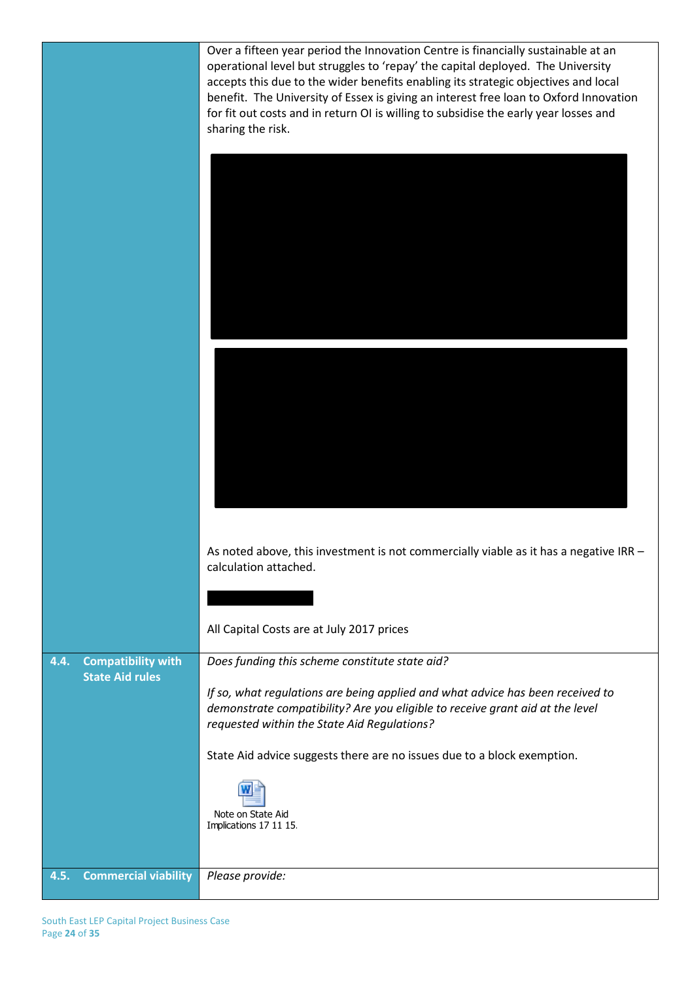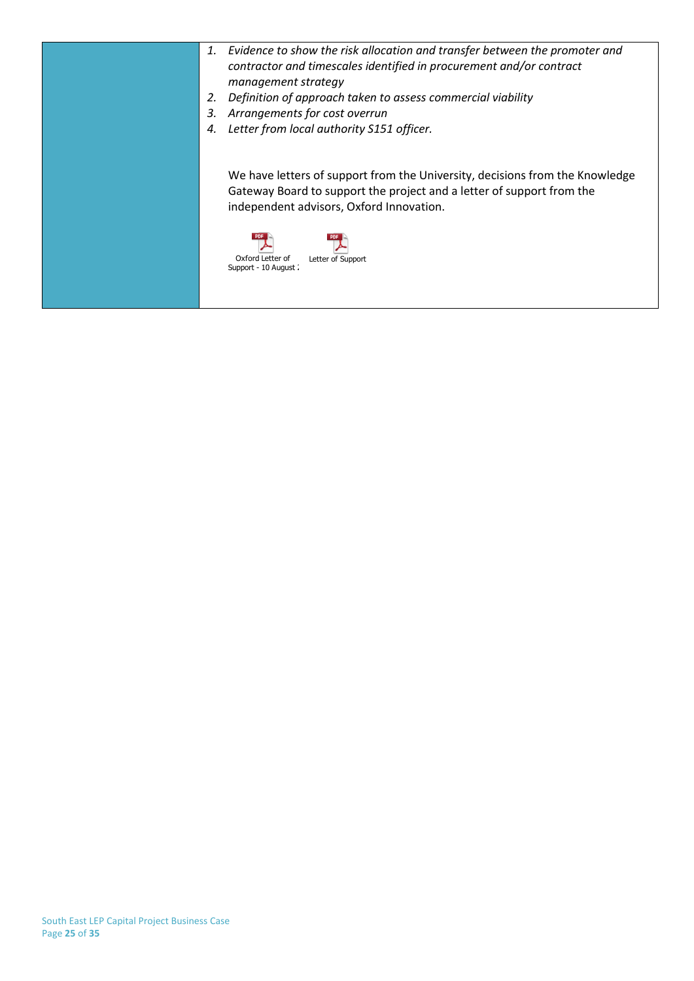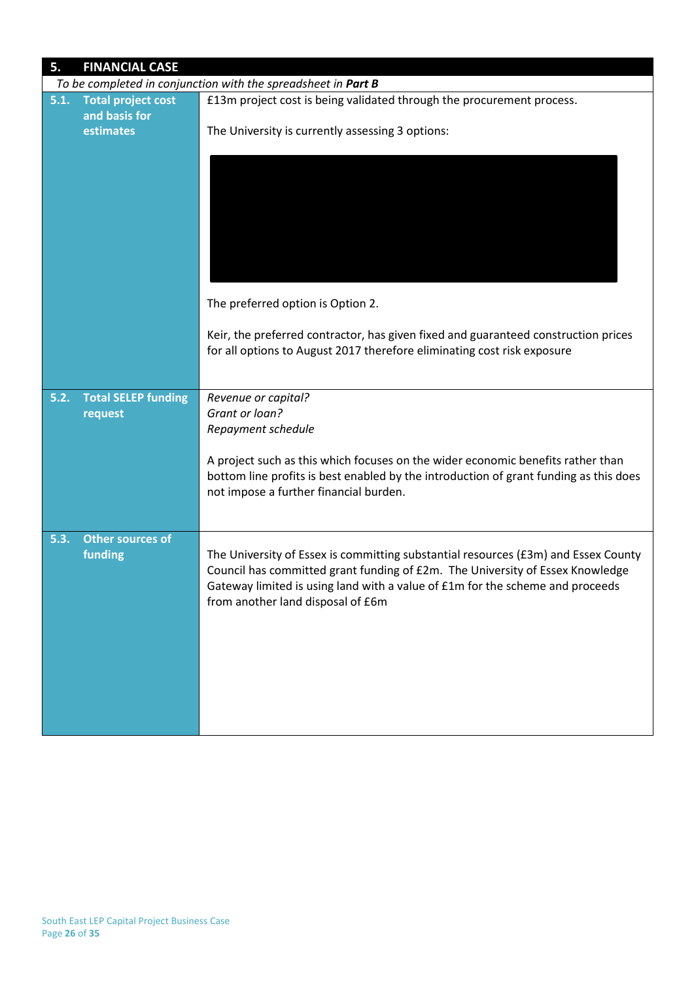| 5.   | <b>FINANCIAL CASE</b>                      |                                                                                                                                                                                                                                                                                           |
|------|--------------------------------------------|-------------------------------------------------------------------------------------------------------------------------------------------------------------------------------------------------------------------------------------------------------------------------------------------|
|      |                                            | To be completed in conjunction with the spreadsheet in Part B                                                                                                                                                                                                                             |
| 5.1. | <b>Total project cost</b><br>and basis for | £13m project cost is being validated through the procurement process.                                                                                                                                                                                                                     |
|      | estimates                                  | The University is currently assessing 3 options:                                                                                                                                                                                                                                          |
|      |                                            |                                                                                                                                                                                                                                                                                           |
|      |                                            | The preferred option is Option 2.                                                                                                                                                                                                                                                         |
|      |                                            | Keir, the preferred contractor, has given fixed and guaranteed construction prices<br>for all options to August 2017 therefore eliminating cost risk exposure                                                                                                                             |
| 5.2. | <b>Total SELEP funding</b><br>request      | Revenue or capital?<br>Grant or loan?                                                                                                                                                                                                                                                     |
|      |                                            | Repayment schedule                                                                                                                                                                                                                                                                        |
|      |                                            | A project such as this which focuses on the wider economic benefits rather than<br>bottom line profits is best enabled by the introduction of grant funding as this does<br>not impose a further financial burden.                                                                        |
| 5.3. | <b>Other sources of</b><br>funding         | The University of Essex is committing substantial resources (£3m) and Essex County<br>Council has committed grant funding of £2m. The University of Essex Knowledge<br>Gateway limited is using land with a value of £1m for the scheme and proceeds<br>from another land disposal of £6m |
|      |                                            |                                                                                                                                                                                                                                                                                           |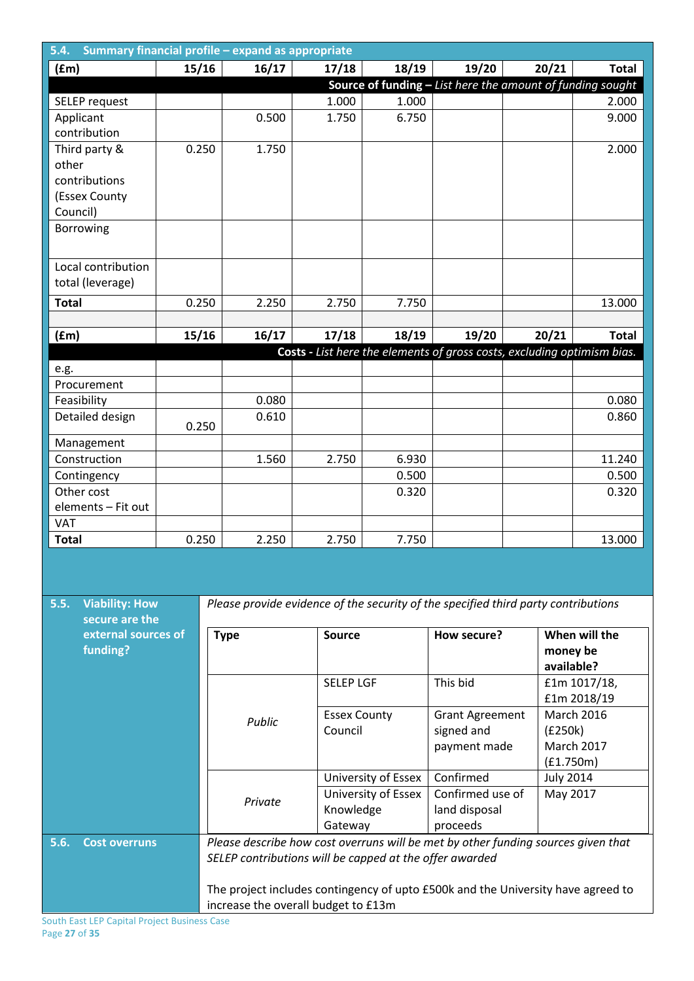| Summary financial profile - expand as appropriate<br>5.4. |       |                                                                                  |         |                     |                     |                                                                                    |                  |                   |  |
|-----------------------------------------------------------|-------|----------------------------------------------------------------------------------|---------|---------------------|---------------------|------------------------------------------------------------------------------------|------------------|-------------------|--|
| (fm)                                                      | 15/16 |                                                                                  | 16/17   | 17/18               | 18/19               | 19/20                                                                              | 20/21            | Total             |  |
|                                                           |       |                                                                                  |         |                     |                     | Source of funding $-$ List here the amount of funding sought                       |                  |                   |  |
| SELEP request                                             |       |                                                                                  |         | 1.000               | 1.000               |                                                                                    |                  | 2.000             |  |
| Applicant                                                 |       |                                                                                  | 0.500   | 1.750               | 6.750               |                                                                                    |                  | 9.000             |  |
| contribution                                              |       |                                                                                  |         |                     |                     |                                                                                    |                  |                   |  |
| Third party &                                             | 0.250 |                                                                                  | 1.750   |                     |                     |                                                                                    |                  | 2.000             |  |
| other                                                     |       |                                                                                  |         |                     |                     |                                                                                    |                  |                   |  |
| contributions                                             |       |                                                                                  |         |                     |                     |                                                                                    |                  |                   |  |
| (Essex County                                             |       |                                                                                  |         |                     |                     |                                                                                    |                  |                   |  |
| Council)                                                  |       |                                                                                  |         |                     |                     |                                                                                    |                  |                   |  |
| Borrowing                                                 |       |                                                                                  |         |                     |                     |                                                                                    |                  |                   |  |
|                                                           |       |                                                                                  |         |                     |                     |                                                                                    |                  |                   |  |
| Local contribution                                        |       |                                                                                  |         |                     |                     |                                                                                    |                  |                   |  |
| total (leverage)                                          |       |                                                                                  |         |                     |                     |                                                                                    |                  |                   |  |
|                                                           |       |                                                                                  |         |                     |                     |                                                                                    |                  |                   |  |
| <b>Total</b>                                              | 0.250 |                                                                                  | 2.250   | 2.750               | 7.750               |                                                                                    |                  | 13.000            |  |
|                                                           |       |                                                                                  |         |                     |                     |                                                                                    |                  |                   |  |
| (fm)                                                      | 15/16 |                                                                                  | 16/17   | 17/18               | 18/19               | 19/20                                                                              | 20/21            | <b>Total</b>      |  |
|                                                           |       |                                                                                  |         |                     |                     | Costs - List here the elements of gross costs, excluding optimism bias.            |                  |                   |  |
| e.g.                                                      |       |                                                                                  |         |                     |                     |                                                                                    |                  |                   |  |
| Procurement                                               |       |                                                                                  |         |                     |                     |                                                                                    |                  |                   |  |
| Feasibility                                               |       |                                                                                  | 0.080   |                     |                     |                                                                                    |                  | 0.080             |  |
| Detailed design                                           | 0.250 |                                                                                  | 0.610   |                     |                     |                                                                                    |                  | 0.860             |  |
| Management                                                |       |                                                                                  |         |                     |                     |                                                                                    |                  |                   |  |
| Construction                                              |       |                                                                                  | 1.560   | 2.750               | 6.930               |                                                                                    |                  | 11.240            |  |
|                                                           |       |                                                                                  |         |                     | 0.500               |                                                                                    |                  |                   |  |
| Contingency<br>Other cost                                 |       |                                                                                  |         |                     | 0.320               |                                                                                    |                  | 0.500<br>0.320    |  |
| elements - Fit out                                        |       |                                                                                  |         |                     |                     |                                                                                    |                  |                   |  |
| <b>VAT</b>                                                |       |                                                                                  |         |                     |                     |                                                                                    |                  |                   |  |
| <b>Total</b>                                              | 0.250 |                                                                                  | 2.250   | 2.750               | 7.750               |                                                                                    |                  | 13.000            |  |
|                                                           |       |                                                                                  |         |                     |                     |                                                                                    |                  |                   |  |
|                                                           |       |                                                                                  |         |                     |                     |                                                                                    |                  |                   |  |
|                                                           |       |                                                                                  |         |                     |                     |                                                                                    |                  |                   |  |
| <b>Viability: How</b><br>5.5.                             |       |                                                                                  |         |                     |                     | Please provide evidence of the security of the specified third party contributions |                  |                   |  |
| secure are the                                            |       |                                                                                  |         |                     |                     |                                                                                    |                  |                   |  |
| external sources of                                       |       | <b>Type</b>                                                                      |         | <b>Source</b>       |                     | How secure?                                                                        |                  | When will the     |  |
| funding?                                                  |       |                                                                                  |         |                     |                     |                                                                                    |                  | money be          |  |
|                                                           |       |                                                                                  |         |                     |                     |                                                                                    |                  | available?        |  |
|                                                           |       |                                                                                  |         | <b>SELEP LGF</b>    |                     | This bid                                                                           |                  | £1m 1017/18,      |  |
|                                                           |       |                                                                                  |         |                     |                     |                                                                                    |                  | £1m 2018/19       |  |
|                                                           |       |                                                                                  |         | <b>Essex County</b> |                     | <b>Grant Agreement</b>                                                             |                  | <b>March 2016</b> |  |
|                                                           |       |                                                                                  | Public  | Council             |                     | signed and                                                                         | (E250k)          |                   |  |
|                                                           |       |                                                                                  |         |                     |                     | payment made                                                                       |                  | <b>March 2017</b> |  |
|                                                           |       |                                                                                  |         |                     |                     |                                                                                    |                  | (f1.750m)         |  |
|                                                           |       |                                                                                  |         |                     | University of Essex | Confirmed                                                                          | <b>July 2014</b> |                   |  |
|                                                           |       |                                                                                  |         |                     | University of Essex | Confirmed use of                                                                   |                  | May 2017          |  |
|                                                           |       |                                                                                  | Private | Knowledge           |                     | land disposal                                                                      |                  |                   |  |
|                                                           |       |                                                                                  |         | Gateway             |                     | proceeds                                                                           |                  |                   |  |
| 5.6.<br><b>Cost overruns</b>                              |       |                                                                                  |         |                     |                     | Please describe how cost overruns will be met by other funding sources given that  |                  |                   |  |
|                                                           |       |                                                                                  |         |                     |                     | SELEP contributions will be capped at the offer awarded                            |                  |                   |  |
|                                                           |       |                                                                                  |         |                     |                     |                                                                                    |                  |                   |  |
|                                                           |       | The project includes contingency of upto £500k and the University have agreed to |         |                     |                     |                                                                                    |                  |                   |  |
|                                                           |       | increase the overall budget to £13m                                              |         |                     |                     |                                                                                    |                  |                   |  |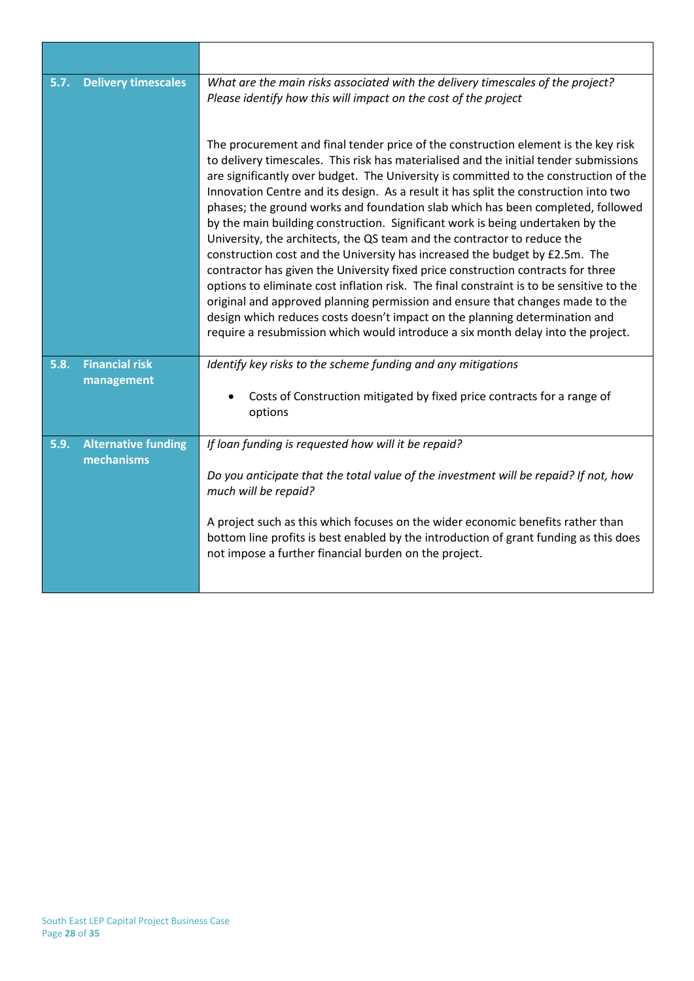| 5.7. | <b>Delivery timescales</b>               | What are the main risks associated with the delivery timescales of the project?<br>Please identify how this will impact on the cost of the project<br>The procurement and final tender price of the construction element is the key risk<br>to delivery timescales. This risk has materialised and the initial tender submissions<br>are significantly over budget. The University is committed to the construction of the                                                                                                                                                                                                                                                                                                                                                                                                                               |
|------|------------------------------------------|----------------------------------------------------------------------------------------------------------------------------------------------------------------------------------------------------------------------------------------------------------------------------------------------------------------------------------------------------------------------------------------------------------------------------------------------------------------------------------------------------------------------------------------------------------------------------------------------------------------------------------------------------------------------------------------------------------------------------------------------------------------------------------------------------------------------------------------------------------|
|      |                                          | Innovation Centre and its design. As a result it has split the construction into two<br>phases; the ground works and foundation slab which has been completed, followed<br>by the main building construction. Significant work is being undertaken by the<br>University, the architects, the QS team and the contractor to reduce the<br>construction cost and the University has increased the budget by £2.5m. The<br>contractor has given the University fixed price construction contracts for three<br>options to eliminate cost inflation risk. The final constraint is to be sensitive to the<br>original and approved planning permission and ensure that changes made to the<br>design which reduces costs doesn't impact on the planning determination and<br>require a resubmission which would introduce a six month delay into the project. |
| 5.8. | <b>Financial risk</b>                    | Identify key risks to the scheme funding and any mitigations                                                                                                                                                                                                                                                                                                                                                                                                                                                                                                                                                                                                                                                                                                                                                                                             |
|      | management                               | Costs of Construction mitigated by fixed price contracts for a range of<br>options                                                                                                                                                                                                                                                                                                                                                                                                                                                                                                                                                                                                                                                                                                                                                                       |
| 5.9. | <b>Alternative funding</b><br>mechanisms | If loan funding is requested how will it be repaid?                                                                                                                                                                                                                                                                                                                                                                                                                                                                                                                                                                                                                                                                                                                                                                                                      |
|      |                                          | Do you anticipate that the total value of the investment will be repaid? If not, how<br>much will be repaid?                                                                                                                                                                                                                                                                                                                                                                                                                                                                                                                                                                                                                                                                                                                                             |
|      |                                          | A project such as this which focuses on the wider economic benefits rather than<br>bottom line profits is best enabled by the introduction of grant funding as this does<br>not impose a further financial burden on the project.                                                                                                                                                                                                                                                                                                                                                                                                                                                                                                                                                                                                                        |

 $\overline{\phantom{a}}$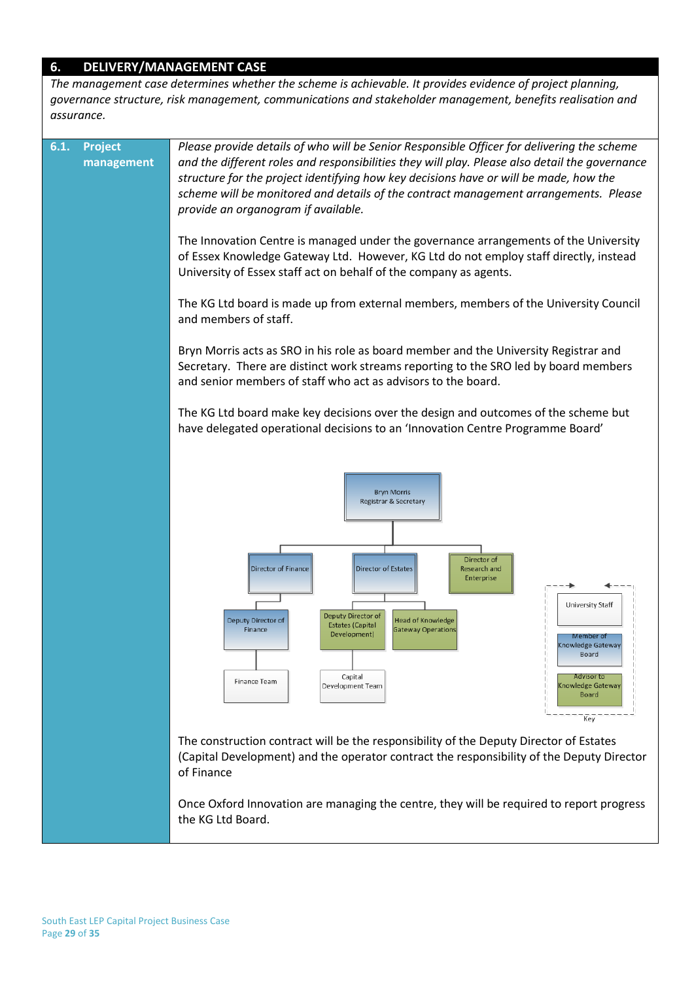### **6. DELIVERY/MANAGEMENT CASE**

*The management case determines whether the scheme is achievable. It provides evidence of project planning, governance structure, risk management, communications and stakeholder management, benefits realisation and assurance.*

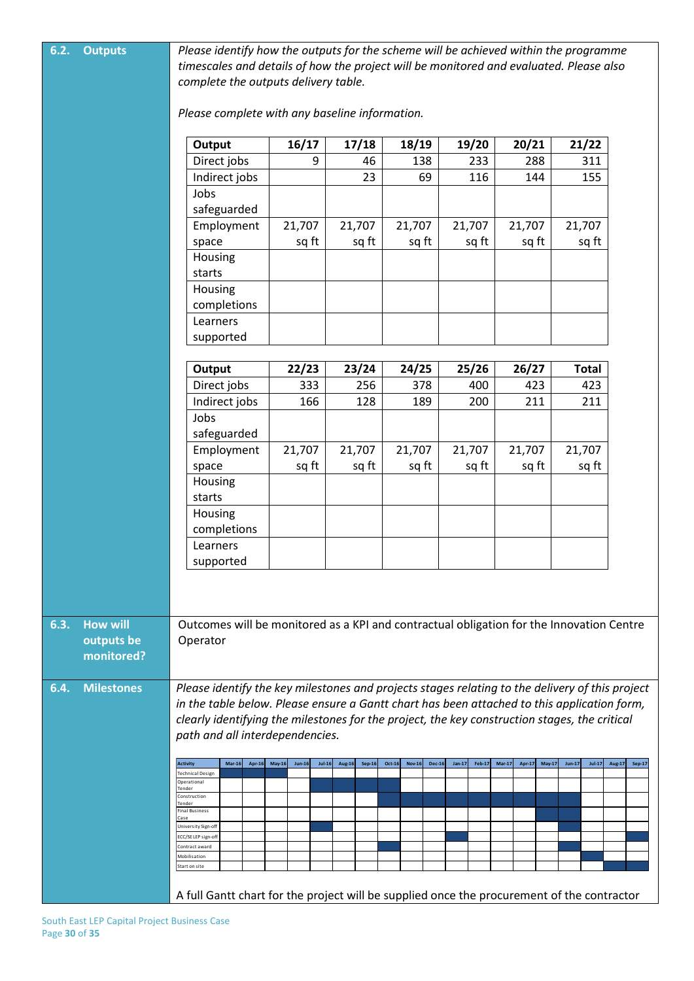| 6.2. | <b>Outputs</b>           | Please identify how the outputs for the scheme will be achieved within the programme<br>timescales and details of how the project will be monitored and evaluated. Please also |                                       |                         |                                          |                           |                                |                      |                  |
|------|--------------------------|--------------------------------------------------------------------------------------------------------------------------------------------------------------------------------|---------------------------------------|-------------------------|------------------------------------------|---------------------------|--------------------------------|----------------------|------------------|
|      |                          | complete the outputs delivery table.<br>Please complete with any baseline information.                                                                                         |                                       |                         |                                          |                           |                                |                      |                  |
|      |                          |                                                                                                                                                                                |                                       |                         |                                          |                           |                                |                      |                  |
|      |                          | Output                                                                                                                                                                         | 16/17                                 | 17/18                   | 18/19                                    | 19/20                     | 20/21                          | 21/22                |                  |
|      |                          | Direct jobs                                                                                                                                                                    | 9                                     | 46                      | 138                                      | 233                       | 288                            | 311                  |                  |
|      |                          | Indirect jobs                                                                                                                                                                  |                                       | 23                      | 69                                       | 116                       | 144                            | 155                  |                  |
|      |                          | Jobs                                                                                                                                                                           |                                       |                         |                                          |                           |                                |                      |                  |
|      |                          | safeguarded                                                                                                                                                                    |                                       |                         |                                          |                           |                                |                      |                  |
|      |                          | Employment                                                                                                                                                                     | 21,707                                | 21,707                  | 21,707                                   | 21,707                    | 21,707                         | 21,707               |                  |
|      |                          | space                                                                                                                                                                          | sq ft                                 | sq ft                   | sq ft                                    | sq ft                     | sq ft                          | sq ft                |                  |
|      |                          | Housing                                                                                                                                                                        |                                       |                         |                                          |                           |                                |                      |                  |
|      |                          | starts                                                                                                                                                                         |                                       |                         |                                          |                           |                                |                      |                  |
|      |                          | Housing<br>completions                                                                                                                                                         |                                       |                         |                                          |                           |                                |                      |                  |
|      |                          | Learners                                                                                                                                                                       |                                       |                         |                                          |                           |                                |                      |                  |
|      |                          | supported                                                                                                                                                                      |                                       |                         |                                          |                           |                                |                      |                  |
|      |                          | Output                                                                                                                                                                         | 22/23                                 | 23/24                   | 24/25                                    | 25/26                     | 26/27                          | <b>Total</b>         |                  |
|      |                          | Direct jobs                                                                                                                                                                    | 333                                   | 256                     | 378                                      | 400                       | 423                            | 423                  |                  |
|      |                          | Indirect jobs                                                                                                                                                                  | 166                                   | 128                     | 189                                      | 200                       | 211                            | 211                  |                  |
|      |                          | Jobs                                                                                                                                                                           |                                       |                         |                                          |                           |                                |                      |                  |
|      |                          | safeguarded                                                                                                                                                                    |                                       |                         |                                          |                           |                                |                      |                  |
|      |                          | Employment                                                                                                                                                                     | 21,707                                | 21,707                  | 21,707                                   | 21,707                    | 21,707                         | 21,707               |                  |
|      |                          | space                                                                                                                                                                          | sq ft                                 | sq ft                   | sq ft                                    | sq ft                     | sq ft                          | sq ft                |                  |
|      |                          | Housing                                                                                                                                                                        |                                       |                         |                                          |                           |                                |                      |                  |
|      |                          | starts                                                                                                                                                                         |                                       |                         |                                          |                           |                                |                      |                  |
|      |                          | Housing                                                                                                                                                                        |                                       |                         |                                          |                           |                                |                      |                  |
|      |                          | completions                                                                                                                                                                    |                                       |                         |                                          |                           |                                |                      |                  |
|      |                          | Learners                                                                                                                                                                       |                                       |                         |                                          |                           |                                |                      |                  |
|      |                          | supported                                                                                                                                                                      |                                       |                         |                                          |                           |                                |                      |                  |
|      |                          |                                                                                                                                                                                |                                       |                         |                                          |                           |                                |                      |                  |
|      |                          |                                                                                                                                                                                |                                       |                         |                                          |                           |                                |                      |                  |
| 6.3. | <b>How will</b>          | Outcomes will be monitored as a KPI and contractual obligation for the Innovation Centre                                                                                       |                                       |                         |                                          |                           |                                |                      |                  |
|      | outputs be<br>monitored? | Operator                                                                                                                                                                       |                                       |                         |                                          |                           |                                |                      |                  |
| 6.4. | <b>Milestones</b>        | Please identify the key milestones and projects stages relating to the delivery of this project                                                                                |                                       |                         |                                          |                           |                                |                      |                  |
|      |                          | in the table below. Please ensure a Gantt chart has been attached to this application form,                                                                                    |                                       |                         |                                          |                           |                                |                      |                  |
|      |                          | clearly identifying the milestones for the project, the key construction stages, the critical                                                                                  |                                       |                         |                                          |                           |                                |                      |                  |
|      |                          | path and all interdependencies.                                                                                                                                                |                                       |                         |                                          |                           |                                |                      |                  |
|      |                          |                                                                                                                                                                                |                                       |                         |                                          |                           |                                |                      |                  |
|      |                          | <b>Activity</b><br>$Mar-16$<br>Apr-16<br><b>Technical Design</b>                                                                                                               | <b>May-16</b><br>$Jun-16$<br>$Jul-16$ | Aug-16<br><b>Sep-16</b> | Oct-16<br><b>Nov-16</b><br><b>Dec-16</b> | $Jan-17$<br><b>Feb-17</b> | $Mar-17$<br>Apr-17<br>$May-17$ | $Jun-17$<br>$Jul-17$ | Aug-17<br>Sep-17 |
|      |                          | Operational<br>Tender                                                                                                                                                          |                                       |                         |                                          |                           |                                |                      |                  |
|      |                          | Construction<br>Tender<br>Final Business                                                                                                                                       |                                       |                         |                                          |                           |                                |                      |                  |
|      |                          | Case<br>University Sign-off                                                                                                                                                    |                                       |                         |                                          |                           |                                |                      |                  |
|      |                          | ECC/SE LEP sign-off                                                                                                                                                            |                                       |                         |                                          |                           |                                |                      |                  |
|      |                          | Contract award<br>Mobilisation                                                                                                                                                 |                                       |                         |                                          |                           |                                |                      |                  |
|      |                          | Start on site                                                                                                                                                                  |                                       |                         |                                          |                           |                                |                      |                  |
|      |                          | A full Gantt chart for the project will be supplied once the procurement of the contractor                                                                                     |                                       |                         |                                          |                           |                                |                      |                  |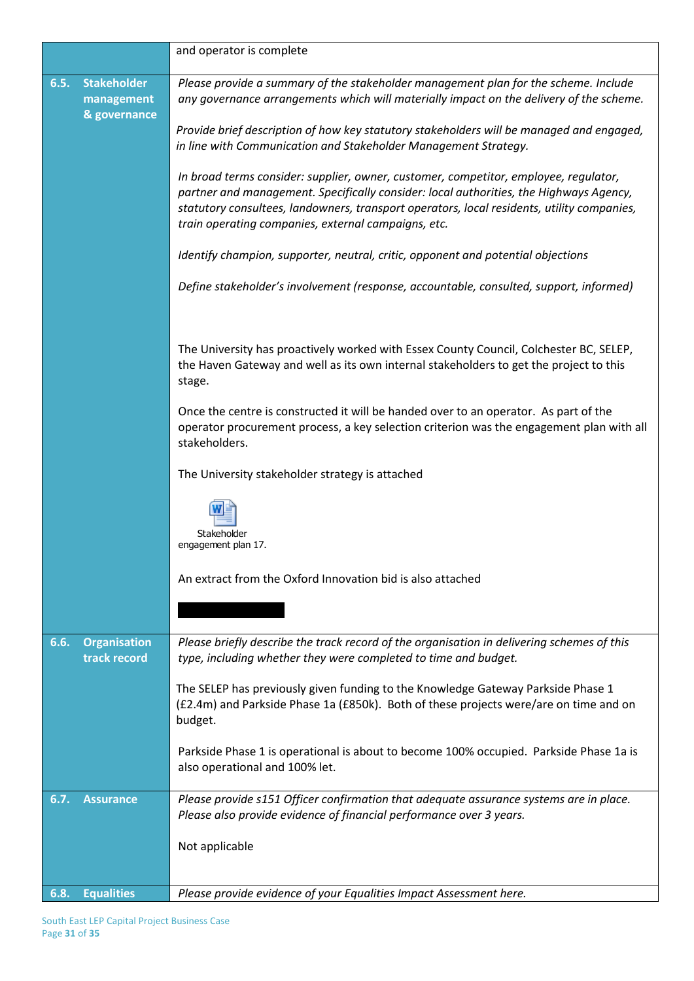|      |                                                  | and operator is complete                                                                                                                                                                                                                                                                                                            |
|------|--------------------------------------------------|-------------------------------------------------------------------------------------------------------------------------------------------------------------------------------------------------------------------------------------------------------------------------------------------------------------------------------------|
| 6.5. | <b>Stakeholder</b><br>management<br>& governance | Please provide a summary of the stakeholder management plan for the scheme. Include<br>any governance arrangements which will materially impact on the delivery of the scheme.                                                                                                                                                      |
|      |                                                  | Provide brief description of how key statutory stakeholders will be managed and engaged,<br>in line with Communication and Stakeholder Management Strategy.                                                                                                                                                                         |
|      |                                                  | In broad terms consider: supplier, owner, customer, competitor, employee, regulator,<br>partner and management. Specifically consider: local authorities, the Highways Agency,<br>statutory consultees, landowners, transport operators, local residents, utility companies,<br>train operating companies, external campaigns, etc. |
|      |                                                  | Identify champion, supporter, neutral, critic, opponent and potential objections                                                                                                                                                                                                                                                    |
|      |                                                  | Define stakeholder's involvement (response, accountable, consulted, support, informed)                                                                                                                                                                                                                                              |
|      |                                                  | The University has proactively worked with Essex County Council, Colchester BC, SELEP,<br>the Haven Gateway and well as its own internal stakeholders to get the project to this<br>stage.                                                                                                                                          |
|      |                                                  | Once the centre is constructed it will be handed over to an operator. As part of the<br>operator procurement process, a key selection criterion was the engagement plan with all<br>stakeholders.                                                                                                                                   |
|      |                                                  | The University stakeholder strategy is attached                                                                                                                                                                                                                                                                                     |
|      |                                                  | Stakeholder<br>engagement plan 17.                                                                                                                                                                                                                                                                                                  |
|      |                                                  | An extract from the Oxford Innovation bid is also attached                                                                                                                                                                                                                                                                          |
|      |                                                  |                                                                                                                                                                                                                                                                                                                                     |
| 6.6. | <b>Organisation</b><br>track record              | Please briefly describe the track record of the organisation in delivering schemes of this<br>type, including whether they were completed to time and budget.                                                                                                                                                                       |
|      |                                                  | The SELEP has previously given funding to the Knowledge Gateway Parkside Phase 1<br>(£2.4m) and Parkside Phase 1a (£850k). Both of these projects were/are on time and on<br>budget.                                                                                                                                                |
|      |                                                  | Parkside Phase 1 is operational is about to become 100% occupied. Parkside Phase 1a is<br>also operational and 100% let.                                                                                                                                                                                                            |
| 6.7. | <b>Assurance</b>                                 | Please provide s151 Officer confirmation that adequate assurance systems are in place.<br>Please also provide evidence of financial performance over 3 years.                                                                                                                                                                       |
|      |                                                  | Not applicable                                                                                                                                                                                                                                                                                                                      |
| 6.8. | <b>Equalities</b>                                | Please provide evidence of your Equalities Impact Assessment here.                                                                                                                                                                                                                                                                  |
|      |                                                  |                                                                                                                                                                                                                                                                                                                                     |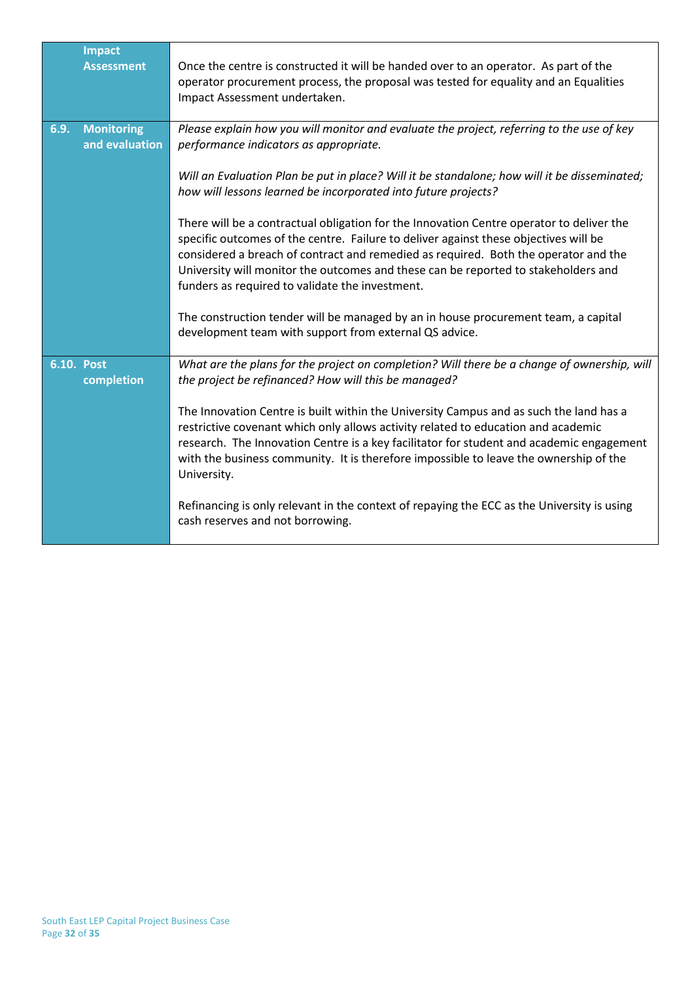|      | <b>Impact</b><br><b>Assessment</b>  | Once the centre is constructed it will be handed over to an operator. As part of the<br>operator procurement process, the proposal was tested for equality and an Equalities<br>Impact Assessment undertaken.                                                                                                                                                                                                    |
|------|-------------------------------------|------------------------------------------------------------------------------------------------------------------------------------------------------------------------------------------------------------------------------------------------------------------------------------------------------------------------------------------------------------------------------------------------------------------|
| 6.9. | <b>Monitoring</b><br>and evaluation | Please explain how you will monitor and evaluate the project, referring to the use of key<br>performance indicators as appropriate.                                                                                                                                                                                                                                                                              |
|      |                                     | Will an Evaluation Plan be put in place? Will it be standalone; how will it be disseminated;<br>how will lessons learned be incorporated into future projects?                                                                                                                                                                                                                                                   |
|      |                                     | There will be a contractual obligation for the Innovation Centre operator to deliver the<br>specific outcomes of the centre. Failure to deliver against these objectives will be<br>considered a breach of contract and remedied as required. Both the operator and the<br>University will monitor the outcomes and these can be reported to stakeholders and<br>funders as required to validate the investment. |
|      |                                     | The construction tender will be managed by an in house procurement team, a capital<br>development team with support from external QS advice.                                                                                                                                                                                                                                                                     |
|      | <b>6.10. Post</b><br>completion     | What are the plans for the project on completion? Will there be a change of ownership, will<br>the project be refinanced? How will this be managed?                                                                                                                                                                                                                                                              |
|      |                                     | The Innovation Centre is built within the University Campus and as such the land has a<br>restrictive covenant which only allows activity related to education and academic<br>research. The Innovation Centre is a key facilitator for student and academic engagement<br>with the business community. It is therefore impossible to leave the ownership of the<br>University.                                  |
|      |                                     | Refinancing is only relevant in the context of repaying the ECC as the University is using<br>cash reserves and not borrowing.                                                                                                                                                                                                                                                                                   |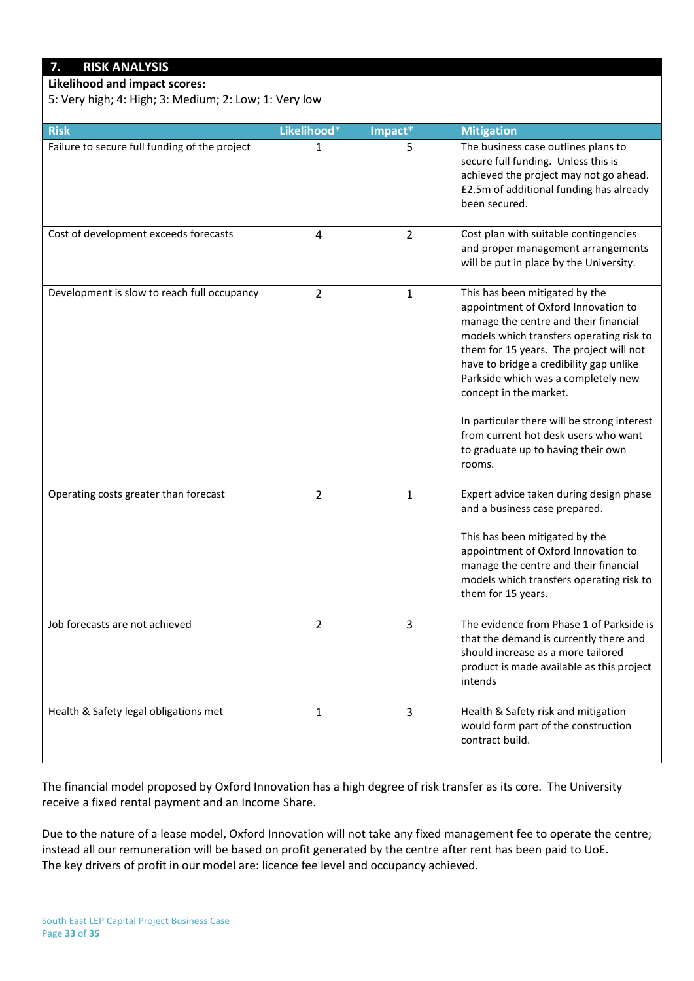# **7. RISK ANALYSIS**

**Likelihood and impact scores:**

5: Very high; 4: High; 3: Medium; 2: Low; 1: Very low

| <b>Risk</b>                                   | Likelihood*    | Impact*        | <b>Mitigation</b>                                                                                                                                                                                                                                                                                                                                                                                                                                        |
|-----------------------------------------------|----------------|----------------|----------------------------------------------------------------------------------------------------------------------------------------------------------------------------------------------------------------------------------------------------------------------------------------------------------------------------------------------------------------------------------------------------------------------------------------------------------|
| Failure to secure full funding of the project | 1              | 5              | The business case outlines plans to<br>secure full funding. Unless this is<br>achieved the project may not go ahead.<br>£2.5m of additional funding has already<br>been secured.                                                                                                                                                                                                                                                                         |
| Cost of development exceeds forecasts         | $\overline{4}$ | $\overline{2}$ | Cost plan with suitable contingencies<br>and proper management arrangements<br>will be put in place by the University.                                                                                                                                                                                                                                                                                                                                   |
| Development is slow to reach full occupancy   | $\overline{2}$ | $\mathbf{1}$   | This has been mitigated by the<br>appointment of Oxford Innovation to<br>manage the centre and their financial<br>models which transfers operating risk to<br>them for 15 years. The project will not<br>have to bridge a credibility gap unlike<br>Parkside which was a completely new<br>concept in the market.<br>In particular there will be strong interest<br>from current hot desk users who want<br>to graduate up to having their own<br>rooms. |
| Operating costs greater than forecast         | $\overline{2}$ | $\mathbf{1}$   | Expert advice taken during design phase<br>and a business case prepared.<br>This has been mitigated by the<br>appointment of Oxford Innovation to<br>manage the centre and their financial<br>models which transfers operating risk to<br>them for 15 years.                                                                                                                                                                                             |
| Job forecasts are not achieved                | $\overline{2}$ | 3              | The evidence from Phase 1 of Parkside is<br>that the demand is currently there and<br>should increase as a more tailored<br>product is made available as this project<br>intends                                                                                                                                                                                                                                                                         |
| Health & Safety legal obligations met         | 1              | 3              | Health & Safety risk and mitigation<br>would form part of the construction<br>contract build.                                                                                                                                                                                                                                                                                                                                                            |

The financial model proposed by Oxford Innovation has a high degree of risk transfer as its core. The University receive a fixed rental payment and an Income Share.

Due to the nature of a lease model, Oxford Innovation will not take any fixed management fee to operate the centre; instead all our remuneration will be based on profit generated by the centre after rent has been paid to UoE. The key drivers of profit in our model are: licence fee level and occupancy achieved.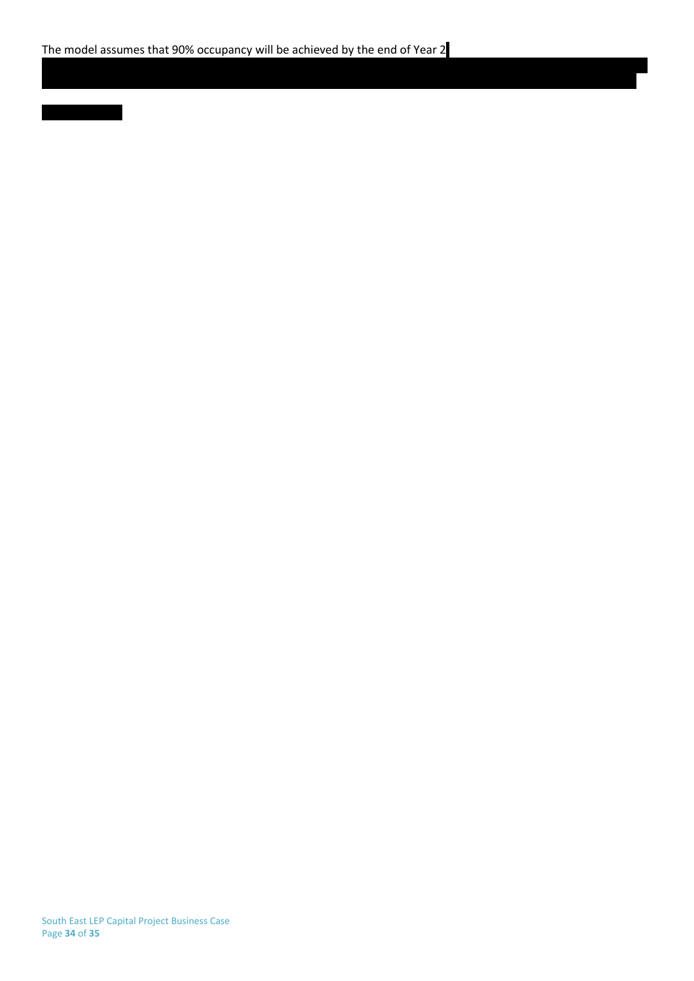South East LEP Capital Project Business Case Page **34** of **35**